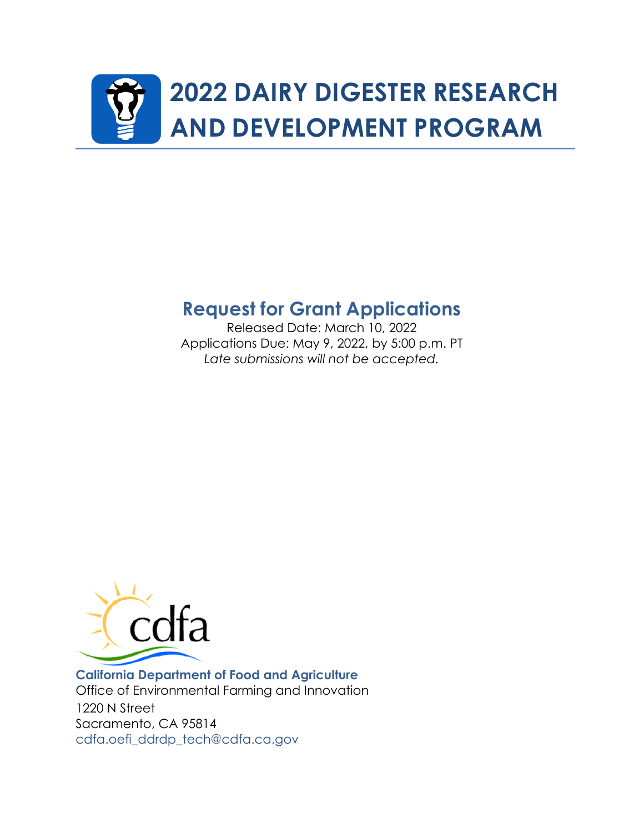

## **Request for Grant Applications**

Released Date: March 10, 2022 Applications Due: May 9, 2022, by 5:00 p.m. PT *Late submissions will not be accepted.*



**California Department of Food and Agriculture** Office of Environmental Farming and Innovation 1220 N Street Sacramento, CA 95814 [cdfa.oefi\\_ddrdp\\_tech@cdfa.ca.gov](mailto:cdfa.oefi_ddrdp_tech@cdfa.ca.gov)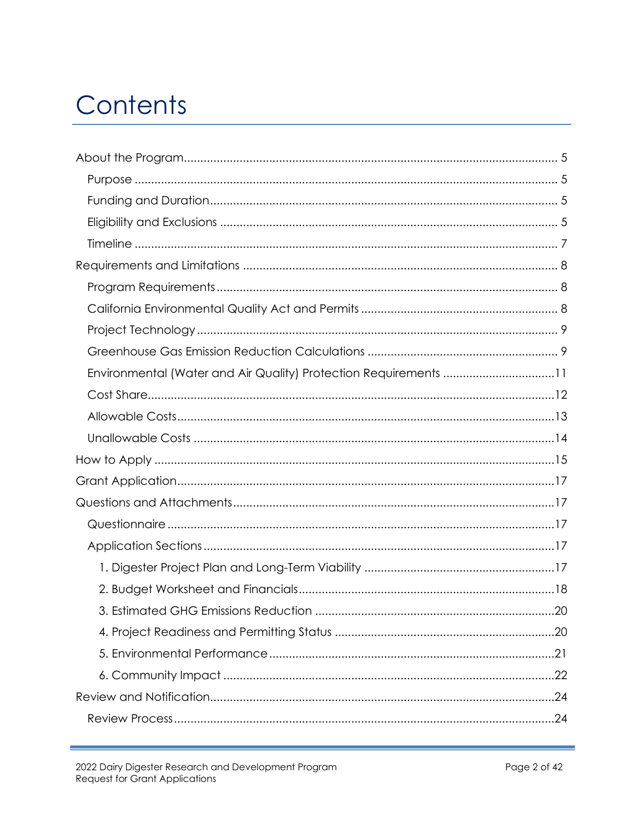## Contents

| Environmental (Water and Air Quality) Protection Requirements 11 |
|------------------------------------------------------------------|
|                                                                  |
|                                                                  |
|                                                                  |
|                                                                  |
|                                                                  |
|                                                                  |
|                                                                  |
|                                                                  |
|                                                                  |
|                                                                  |
|                                                                  |
|                                                                  |
|                                                                  |
|                                                                  |
|                                                                  |
|                                                                  |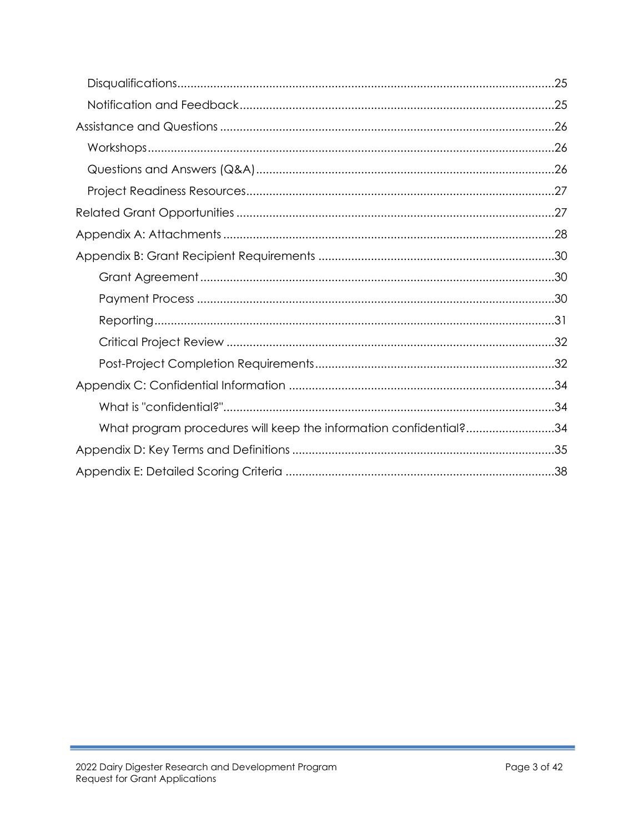| What program procedures will keep the information confidential?34 |  |
|-------------------------------------------------------------------|--|
|                                                                   |  |
|                                                                   |  |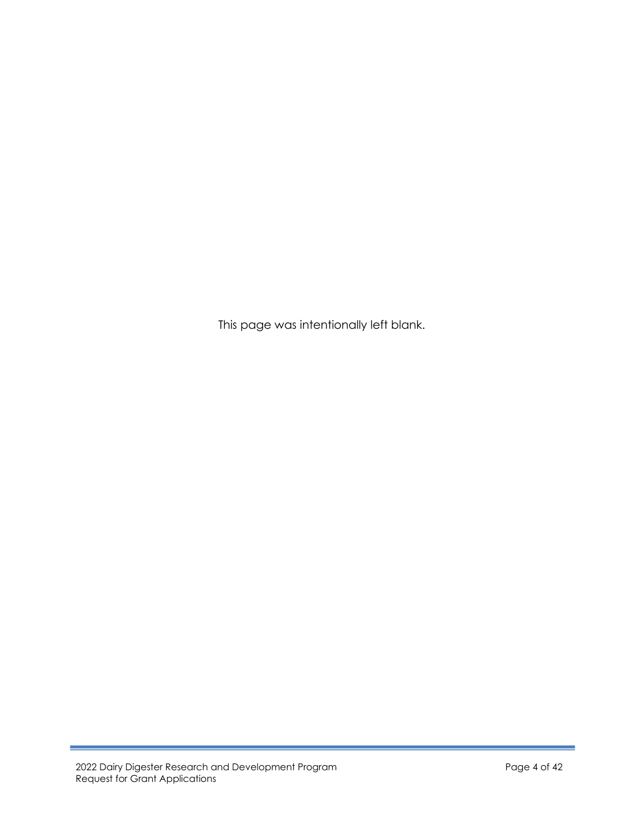This page was intentionally left blank.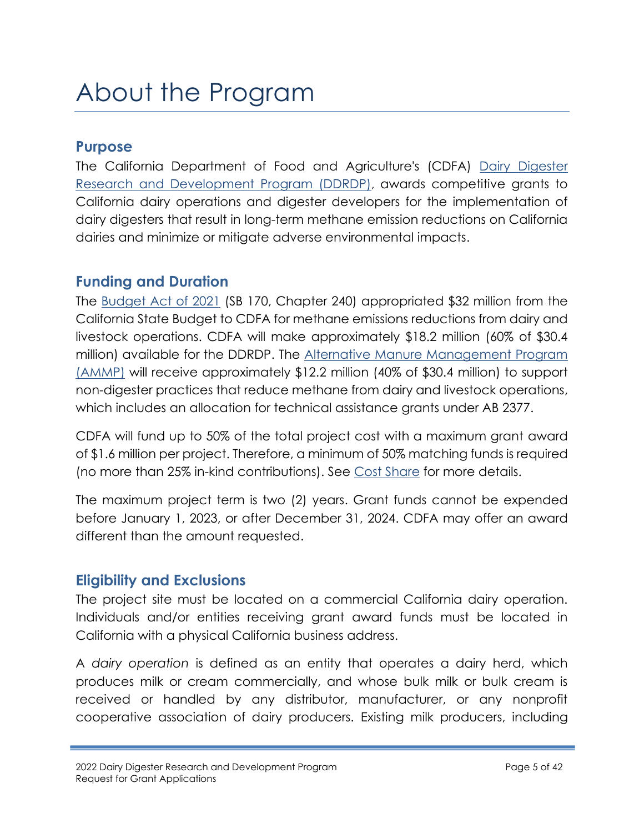## <span id="page-4-0"></span>About the Program

#### <span id="page-4-1"></span>**Purpose**

The California Department of Food and Agriculture's (CDFA) [Dairy Digester](https://www.cdfa.ca.gov/oefi/ddrdp/)  [Research and Development Program \(DDRDP\)](https://www.cdfa.ca.gov/oefi/ddrdp/), awards competitive grants to California dairy operations and digester developers for the implementation of dairy digesters that result in long-term methane emission reductions on California dairies and minimize or mitigate adverse environmental impacts.

#### <span id="page-4-2"></span>**Funding and Duration**

The [Budget Act of 2021](https://leginfo.legislature.ca.gov/faces/billTextClient.xhtml?bill_id=202120220SB170#:~:text=The%20Budget%20Act%20of%202021%20made%20appropriations%20for%20the%20support,immediately%20as%20a%20Budget%20Bill) (SB 170, Chapter 240) appropriated \$32 million from the California State Budget to CDFA for methane emissions reductions from dairy and livestock operations. CDFA will make approximately \$18.2 million (60% of \$30.4 million) available for the DDRDP. The [Alternative Manure Management Program](https://www.cdfa.ca.gov/oefi/AMMP/)  [\(AMMP\)](https://www.cdfa.ca.gov/oefi/AMMP/) will receive approximately \$12.2 million (40% of \$30.4 million) to support non-digester practices that reduce methane from dairy and livestock operations, which includes an allocation for technical assistance grants under AB 2377.

CDFA will fund up to 50% of the total project cost with a maximum grant award of \$1.6 million per project. Therefore, a minimum of 50% matching funds is required (no more than 25% in-kind contributions). See [Cost](#page-11-0) Share for more details.

The maximum project term is two (2) years. Grant funds cannot be expended before January 1, 2023, or after December 31, 2024. CDFA may offer an award different than the amount requested.

### <span id="page-4-3"></span>**Eligibility and Exclusions**

The project site must be located on a commercial California dairy operation. Individuals and/or entities receiving grant award funds must be located in California with a physical California business address.

A *dairy operation* is defined as an entity that operates a dairy herd, which produces milk or cream commercially, and whose bulk milk or bulk cream is received or handled by any distributor, manufacturer, or any nonprofit cooperative association of dairy producers. Existing milk producers, including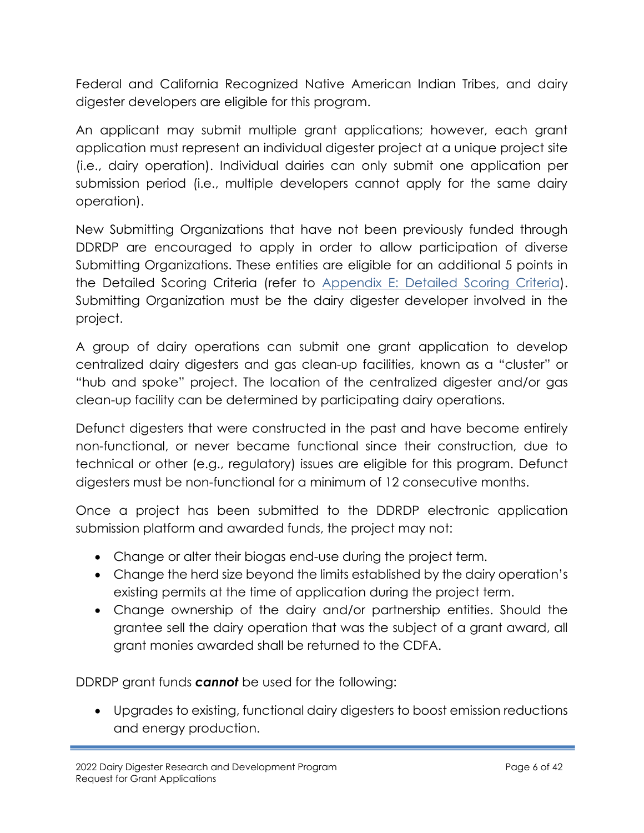Federal and California Recognized Native American Indian Tribes, and dairy digester developers are eligible for this program.

An applicant may submit multiple grant applications; however, each grant application must represent an individual digester project at a unique project site (i.e., dairy operation). Individual dairies can only submit one application per submission period (i.e., multiple developers cannot apply for the same dairy operation).

New Submitting Organizations that have not been previously funded through DDRDP are encouraged to apply in order to allow participation of diverse Submitting Organizations. These entities are eligible for an additional 5 points in the Detailed Scoring Criteria (refer to Appendix [E: Detailed Scoring Criteria\)](#page-37-0). Submitting Organization must be the dairy digester developer involved in the project.

A group of dairy operations can submit one grant application to develop centralized dairy digesters and gas clean-up facilities, known as a "cluster" or "hub and spoke" project. The location of the centralized digester and/or gas clean-up facility can be determined by participating dairy operations.

Defunct digesters that were constructed in the past and have become entirely non-functional, or never became functional since their construction, due to technical or other (e.g., regulatory) issues are eligible for this program. Defunct digesters must be non-functional for a minimum of 12 consecutive months.

Once a project has been submitted to the DDRDP electronic application submission platform and awarded funds, the project may not:

- Change or alter their biogas end-use during the project term.
- Change the herd size beyond the limits established by the dairy operation's existing permits at the time of application during the project term.
- Change ownership of the dairy and/or partnership entities. Should the grantee sell the dairy operation that was the subject of a grant award, all grant monies awarded shall be returned to the CDFA.

DDRDP grant funds *cannot* be used for the following:

• Upgrades to existing, functional dairy digesters to boost emission reductions and energy production.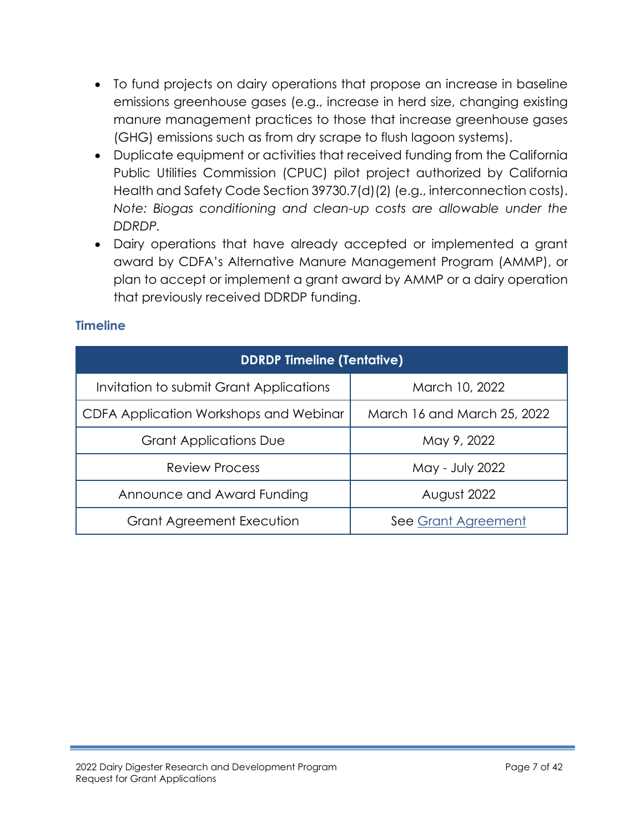- To fund projects on dairy operations that propose an increase in baseline emissions greenhouse gases (e.g., increase in herd size, changing existing manure management practices to those that increase greenhouse gases (GHG) emissions such as from dry scrape to flush lagoon systems).
- Duplicate equipment or activities that received funding from the California Public Utilities Commission (CPUC) pilot project authorized by California Health and Safety Code Section 39730.7(d)(2) (e.g., interconnection costs). *Note: Biogas conditioning and clean-up costs are allowable under the DDRDP.*
- Dairy operations that have already accepted or implemented a grant award by CDFA's Alternative Manure Management Program (AMMP), or plan to accept or implement a grant award by AMMP or a dairy operation that previously received DDRDP funding.

| <b>DDRDP Timeline (Tentative)</b>       |                             |  |
|-----------------------------------------|-----------------------------|--|
| Invitation to submit Grant Applications | March 10, 2022              |  |
| CDFA Application Workshops and Webinar  | March 16 and March 25, 2022 |  |
| <b>Grant Applications Due</b>           | May 9, 2022                 |  |
| <b>Review Process</b>                   | May - July 2022             |  |
| Announce and Award Funding              | August 2022                 |  |
| <b>Grant Agreement Execution</b>        | See Grant Agreement         |  |

#### <span id="page-6-0"></span>**Timeline**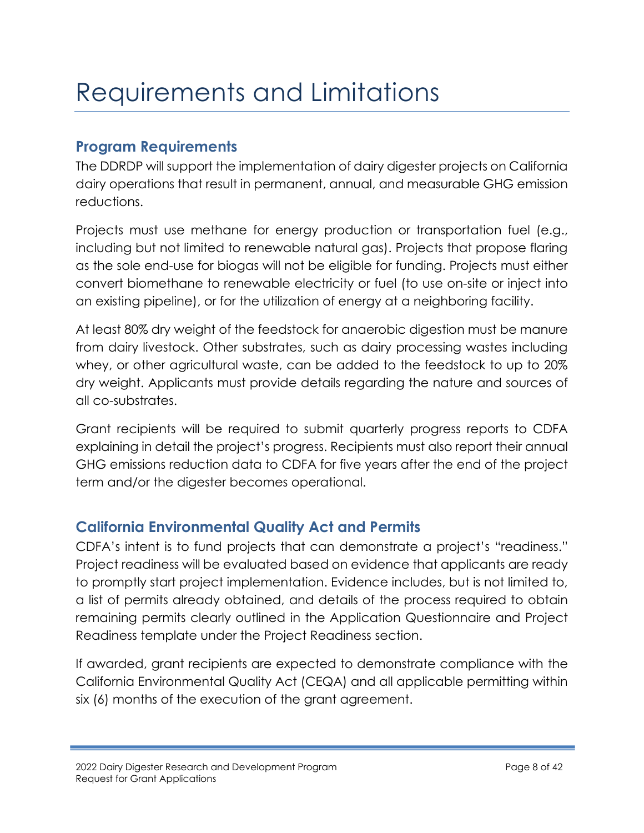## <span id="page-7-0"></span>Requirements and Limitations

### <span id="page-7-1"></span>**Program Requirements**

The DDRDP will support the implementation of dairy digester projects on California dairy operations that result in permanent, annual, and measurable GHG emission reductions.

Projects must use methane for energy production or transportation fuel (e.g., including but not limited to renewable natural gas). Projects that propose flaring as the sole end-use for biogas will not be eligible for funding. Projects must either convert biomethane to renewable electricity or fuel (to use on-site or inject into an existing pipeline), or for the utilization of energy at a neighboring facility.

At least 80% dry weight of the feedstock for anaerobic digestion must be manure from dairy livestock. Other substrates, such as dairy processing wastes including whey, or other agricultural waste, can be added to the feedstock to up to 20% dry weight. Applicants must provide details regarding the nature and sources of all co-substrates.

Grant recipients will be required to submit quarterly progress reports to CDFA explaining in detail the project's progress. Recipients must also report their annual GHG emissions reduction data to CDFA for five years after the end of the project term and/or the digester becomes operational.

## <span id="page-7-2"></span>**California Environmental Quality Act and Permits**

CDFA's intent is to fund projects that can demonstrate a project's "readiness." Project readiness will be evaluated based on evidence that applicants are ready to promptly start project implementation. Evidence includes, but is not limited to, a list of permits already obtained, and details of the process required to obtain remaining permits clearly outlined in the Application Questionnaire and Project Readiness template under the Project Readiness section.

If awarded, grant recipients are expected to demonstrate compliance with the California Environmental Quality Act (CEQA) and all applicable permitting within six (6) months of the execution of the grant agreement.

2022 Dairy Digester Research and Development Program **Page 8 of 42** Page 8 of 42 Request for Grant Applications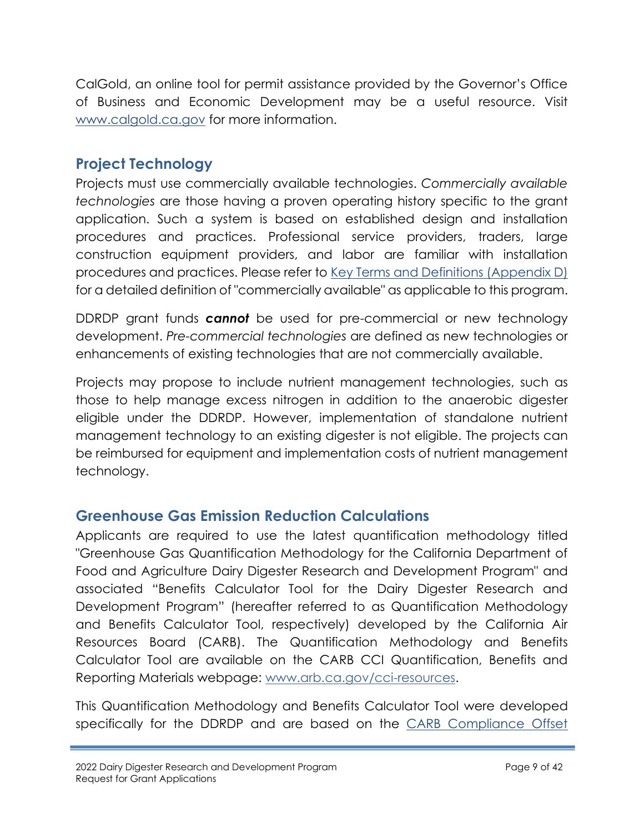CalGold, an online tool for permit assistance provided by the Governor's Office of Business and Economic Development may be a useful resource. Visit [www.calgold.ca.gov](http://www.calgold.ca.gov/) for more information.

### <span id="page-8-0"></span>**Project Technology**

Projects must use commercially available technologies. *Commercially available technologies* are those having a proven operating history specific to the grant application. Such a system is based on established design and installation procedures and practices. Professional service providers, traders, large construction equipment providers, and labor are familiar with installation procedures and practices. Please refer to Key Terms [and Definitions](#page-34-0) (Appendix D) for a detailed definition of "commercially available" as applicable to this program.

DDRDP grant funds *cannot* be used for pre-commercial or new technology development. *Pre-commercial technologies* are defined as new technologies or enhancements of existing technologies that are not commercially available.

Projects may propose to include nutrient management technologies, such as those to help manage excess nitrogen in addition to the anaerobic digester eligible under the DDRDP. However, implementation of standalone nutrient management technology to an existing digester is not eligible. The projects can be reimbursed for equipment and implementation costs of nutrient management technology.

## <span id="page-8-1"></span>**Greenhouse Gas Emission Reduction Calculations**

Applicants are required to use the latest quantification methodology titled "Greenhouse Gas Quantification Methodology for the California Department of Food and Agriculture Dairy Digester Research and Development Program" and associated "Benefits Calculator Tool for the Dairy Digester Research and Development Program" (hereafter referred to as Quantification Methodology and Benefits Calculator Tool, respectively) developed by the California Air Resources Board (CARB). The Quantification Methodology and Benefits Calculator Tool are available on the CARB CCI Quantification, Benefits and Reporting Materials webpage: [www.arb.ca.gov/cci-resources.](http://www.arb.ca.gov/cci-resources)

This Quantification Methodology and Benefits Calculator Tool were developed specifically for the DDRDP and are based on the [CARB Compliance Offset](https://www.arb.ca.gov/cc/capandtrade/protocols/livestock/livestock.htm)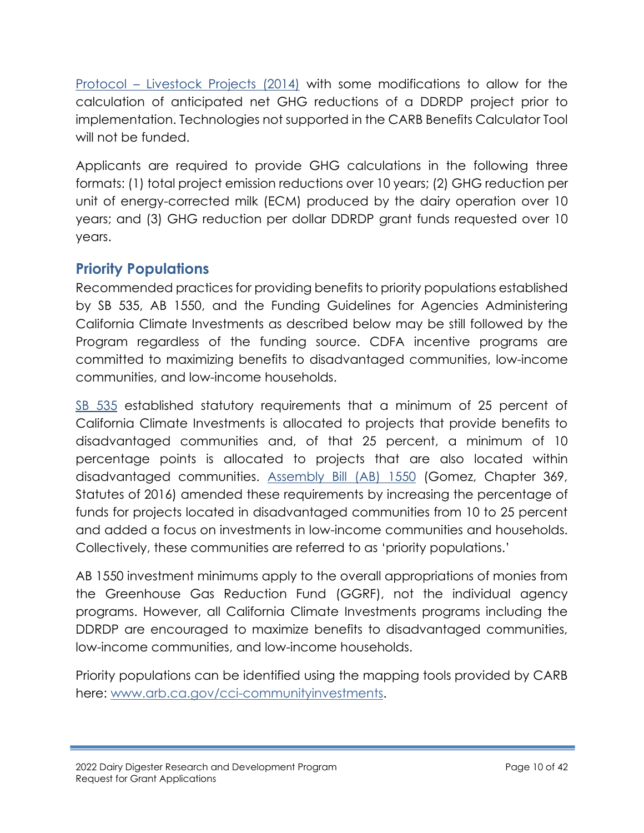Protocol – [Livestock Projects \(2014\)](https://www.arb.ca.gov/cc/capandtrade/protocols/livestock/livestock.htm) with some modifications to allow for the calculation of anticipated net GHG reductions of a DDRDP project prior to implementation. Technologies not supported in the CARB Benefits Calculator Tool will not be funded.

Applicants are required to provide GHG calculations in the following three formats: (1) total project emission reductions over 10 years; (2) GHG reduction per unit of energy-corrected milk (ECM) produced by the dairy operation over 10 years; and (3) GHG reduction per dollar DDRDP grant funds requested over 10 years.

## **Priority Populations**

Recommended practices for providing benefits to priority populations established by SB 535, AB 1550, and the Funding Guidelines for Agencies Administering California Climate Investments as described below may be still followed by the Program regardless of the funding source. CDFA incentive programs are committed to maximizing benefits to disadvantaged communities, low-income communities, and low-income households.

[SB 535](https://leginfo.legislature.ca.gov/faces/billNavClient.xhtml?bill_id=201120120SB535) established statutory requirements that a minimum of 25 percent of California Climate Investments is allocated to projects that provide benefits to disadvantaged communities and, of that 25 percent, a minimum of 10 percentage points is allocated to projects that are also located within disadvantaged communities. [Assembly Bill \(AB\) 1550](https://leginfo.legislature.ca.gov/faces/billNavClient.xhtml?bill_id=201520160AB1550) (Gomez, Chapter 369, Statutes of 2016) amended these requirements by increasing the percentage of funds for projects located in disadvantaged communities from 10 to 25 percent and added a focus on investments in low-income communities and households. Collectively, these communities are referred to as 'priority populations.'

AB 1550 investment minimums apply to the overall appropriations of monies from the Greenhouse Gas Reduction Fund (GGRF), not the individual agency programs. However, all California Climate Investments programs including the DDRDP are encouraged to maximize benefits to disadvantaged communities, low-income communities, and low-income households.

Priority populations can be identified using the mapping tools provided by CARB here: [www.arb.ca.gov/cci-communityinvestments.](http://www.arb.ca.gov/cci-communityinvestments)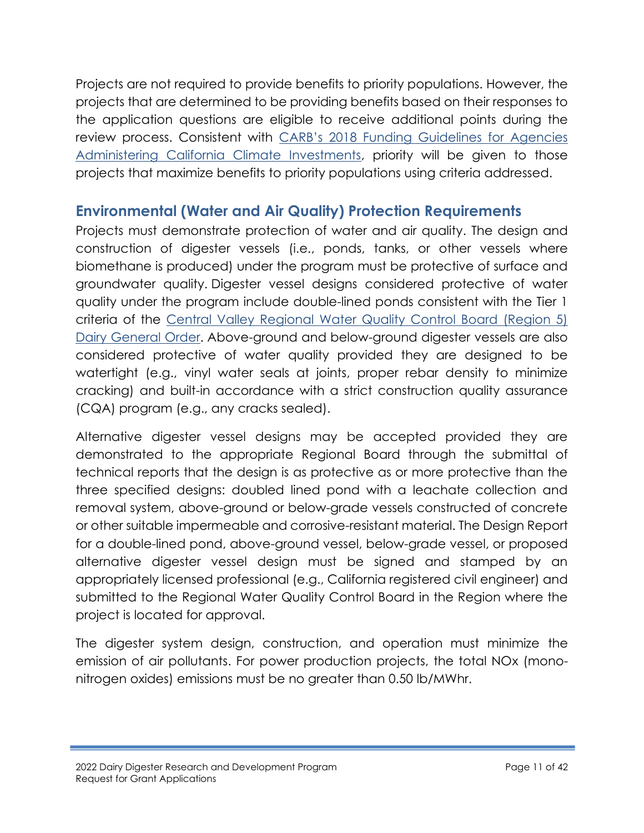Projects are not required to provide benefits to priority populations. However, the projects that are determined to be providing benefits based on their responses to the application questions are eligible to receive additional points during the review process. Consistent with [CARB's 2018 Funding Guidelines for Agencies](https://ww2.arb.ca.gov/resources/documents/cci-funding-guidelines-administering-agencies)  [Administering California Climate Investments,](https://ww2.arb.ca.gov/resources/documents/cci-funding-guidelines-administering-agencies) priority will be given to those projects that maximize benefits to priority populations using criteria addressed.

### <span id="page-10-0"></span>**Environmental (Water and Air Quality) Protection Requirements**

Projects must demonstrate protection of water and air quality. The design and construction of digester vessels (i.e., ponds, tanks, or other vessels where biomethane is produced) under the program must be protective of surface and groundwater quality. Digester vessel designs considered protective of water quality under the program include double-lined ponds consistent with the Tier 1 criteria of the [Central Valley Regional Water Quality Control Board \(Region 5\)](http://www.waterboards.ca.gov/centralvalley/board_decisions/adopted_orders/general_orders/r5-2013-0122.pdf)  [Dairy General Order.](http://www.waterboards.ca.gov/centralvalley/board_decisions/adopted_orders/general_orders/r5-2013-0122.pdf) Above-ground and below-ground digester vessels are also considered protective of water quality provided they are designed to be watertight (e.g., vinyl water seals at joints, proper rebar density to minimize cracking) and built-in accordance with a strict construction quality assurance (CQA) program (e.g., any cracks sealed).

Alternative digester vessel designs may be accepted provided they are demonstrated to the appropriate Regional Board through the submittal of technical reports that the design is as protective as or more protective than the three specified designs: doubled lined pond with a leachate collection and removal system, above-ground or below-grade vessels constructed of concrete or other suitable impermeable and corrosive-resistant material. The Design Report for a double-lined pond, above-ground vessel, below-grade vessel, or proposed alternative digester vessel design must be signed and stamped by an appropriately licensed professional (e.g., California registered civil engineer) and submitted to the Regional Water Quality Control Board in the Region where the project is located for approval.

The digester system design, construction, and operation must minimize the emission of air pollutants. For power production projects, the total NOx (mononitrogen oxides) emissions must be no greater than 0.50 lb/MWhr.

#### 2022 Dairy Digester Research and Development Program **Page 11 of 42** Page 11 of 42 Request for Grant Applications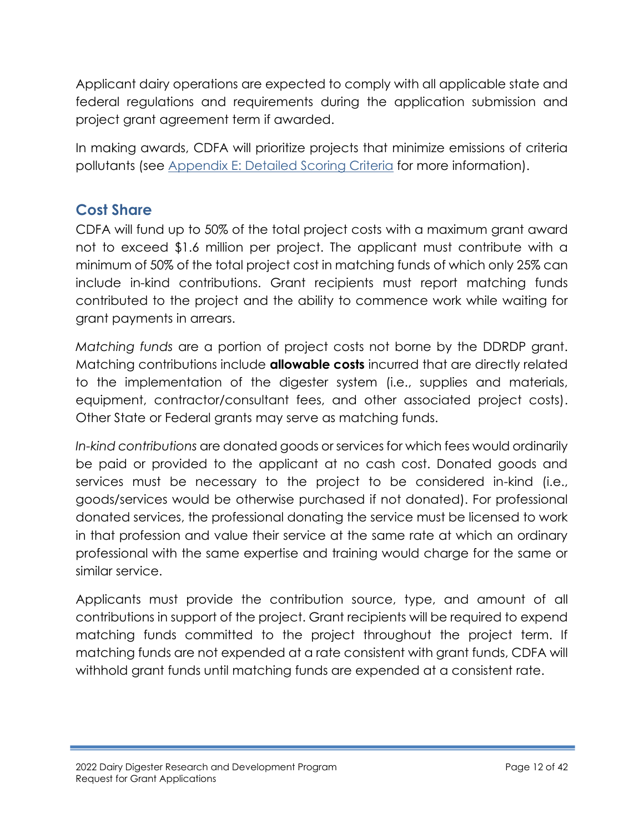Applicant dairy operations are expected to comply with all applicable state and federal regulations and requirements during the application submission and project grant agreement term if awarded.

In making awards, CDFA will prioritize projects that minimize emissions of criteria pollutants (see [Appendix E: Detailed Scoring Criteria](#page-37-0) for more information).

### <span id="page-11-0"></span>**Cost Share**

CDFA will fund up to 50% of the total project costs with a maximum grant award not to exceed \$1.6 million per project. The applicant must contribute with a minimum of 50% of the total project cost in matching funds of which only 25% can include in-kind contributions. Grant recipients must report matching funds contributed to the project and the ability to commence work while waiting for grant payments in arrears.

*Matching funds* are a portion of project costs not borne by the DDRDP grant. Matching contributions include **allowable costs** incurred that are directly related to the implementation of the digester system (i.e., supplies and materials, equipment, contractor/consultant fees, and other associated project costs). Other State or Federal grants may serve as matching funds.

*In-kind contributions* are donated goods or services for which fees would ordinarily be paid or provided to the applicant at no cash cost. Donated goods and services must be necessary to the project to be considered in-kind (i.e., goods/services would be otherwise purchased if not donated). For professional donated services, the professional donating the service must be licensed to work in that profession and value their service at the same rate at which an ordinary professional with the same expertise and training would charge for the same or similar service.

Applicants must provide the contribution source, type, and amount of all contributions in support of the project. Grant recipients will be required to expend matching funds committed to the project throughout the project term. If matching funds are not expended at a rate consistent with grant funds, CDFA will withhold grant funds until matching funds are expended at a consistent rate.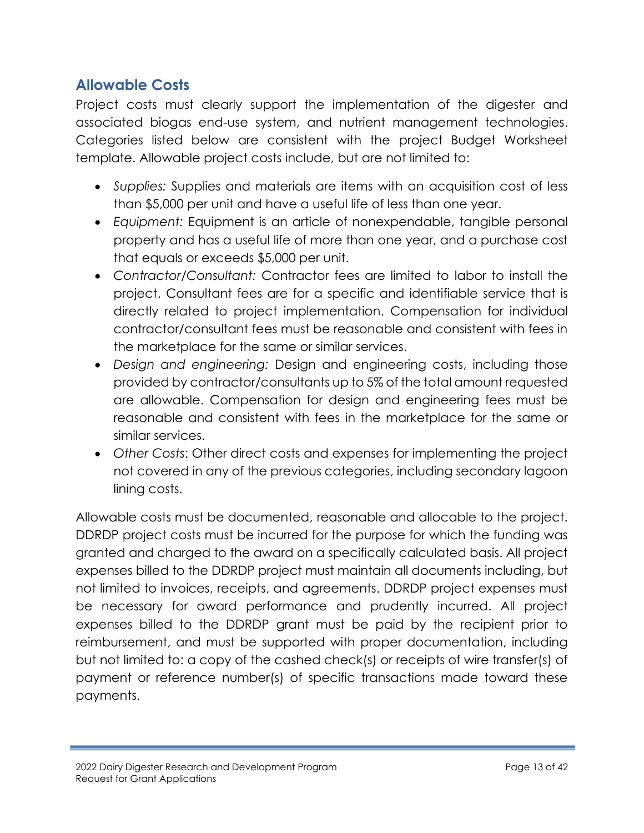## <span id="page-12-0"></span>**Allowable Costs**

Project costs must clearly support the implementation of the digester and associated biogas end-use system, and nutrient management technologies. Categories listed below are consistent with the project Budget Worksheet template. Allowable project costs include, but are not limited to:

- *Supplies:* Supplies and materials are items with an acquisition cost of less than \$5,000 per unit and have a useful life of less than one year.
- *Equipment:* Equipment is an article of nonexpendable, tangible personal property and has a useful life of more than one year, and a purchase cost that equals or exceeds \$5,000 per unit.
- *Contractor/Consultant:* Contractor fees are limited to labor to install the project. Consultant fees are for a specific and identifiable service that is directly related to project implementation. Compensation for individual contractor/consultant fees must be reasonable and consistent with fees in the marketplace for the same or similar services.
- *Design and engineering:* Design and engineering costs, including those provided by contractor/consultants up to 5% of the total amount requested are allowable. Compensation for design and engineering fees must be reasonable and consistent with fees in the marketplace for the same or similar services.
- *Other Costs*: Other direct costs and expenses for implementing the project not covered in any of the previous categories, including secondary lagoon lining costs.

Allowable costs must be documented, reasonable and allocable to the project. DDRDP project costs must be incurred for the purpose for which the funding was granted and charged to the award on a specifically calculated basis. All project expenses billed to the DDRDP project must maintain all documents including, but not limited to invoices, receipts, and agreements. DDRDP project expenses must be necessary for award performance and prudently incurred. All project expenses billed to the DDRDP grant must be paid by the recipient prior to reimbursement, and must be supported with proper documentation, including but not limited to: a copy of the cashed check(s) or receipts of wire transfer(s) of payment or reference number(s) of specific transactions made toward these payments.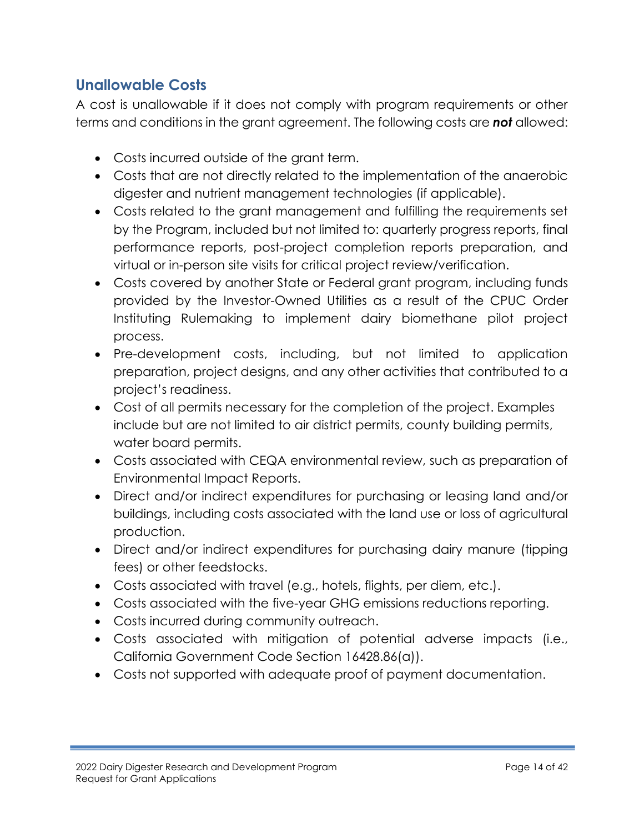## <span id="page-13-0"></span>**Unallowable Costs**

A cost is unallowable if it does not comply with program requirements or other terms and conditions in the grant agreement. The following costs are *not* allowed:

- Costs incurred outside of the grant term.
- Costs that are not directly related to the implementation of the anaerobic digester and nutrient management technologies (if applicable).
- Costs related to the grant management and fulfilling the requirements set by the Program, included but not limited to: quarterly progress reports, final performance reports, post-project completion reports preparation, and virtual or in-person site visits for critical project review/verification.
- Costs covered by another State or Federal grant program, including funds provided by the Investor-Owned Utilities as a result of the CPUC Order Instituting Rulemaking to implement dairy biomethane pilot project process.
- Pre-development costs, including, but not limited to application preparation, project designs, and any other activities that contributed to a project's readiness.
- Cost of all permits necessary for the completion of the project. Examples include but are not limited to air district permits, county building permits, water board permits.
- Costs associated with CEQA environmental review, such as preparation of Environmental Impact Reports.
- Direct and/or indirect expenditures for purchasing or leasing land and/or buildings, including costs associated with the land use or loss of agricultural production.
- Direct and/or indirect expenditures for purchasing dairy manure (tipping fees) or other feedstocks.
- Costs associated with travel (e.g., hotels, flights, per diem, etc.).
- Costs associated with the five-year GHG emissions reductions reporting.
- Costs incurred during community outreach.
- Costs associated with mitigation of potential adverse impacts (i.e., California Government Code Section 16428.86(a)).
- Costs not supported with adequate proof of payment documentation.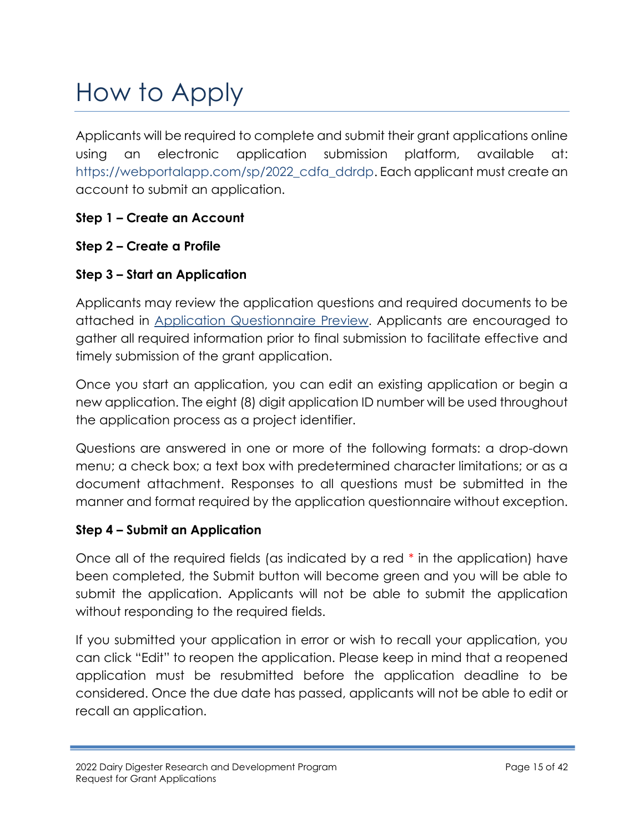## <span id="page-14-0"></span>How to Apply

Applicants will be required to complete and submit their grant applications online using an electronic application submission platform, available at: [https://webportalapp.com/sp/2022\\_cdfa\\_ddrdp.](https://webportalapp.com/sp/2022_cdfa_ddrdp) Each applicant must create an account to submit an application.

#### **Step 1 – Create an Account**

#### **Step 2 – Create a Profile**

#### **Step 3 – Start an Application**

Applicants may review the application questions and required documents to be attached in [Application Questionnaire Preview](https://www.cdfa.ca.gov/oefi/DDRDP/docs/2022_DDRDP_Questionnaire.pdf). Applicants are encouraged to gather all required information prior to final submission to facilitate effective and timely submission of the grant application.

Once you start an application, you can edit an existing application or begin a new application. The eight (8) digit application ID number will be used throughout the application process as a project identifier.

Questions are answered in one or more of the following formats: a drop-down menu; a check box; a text box with predetermined character limitations; or as a document attachment. Responses to all questions must be submitted in the manner and format required by the application questionnaire without exception.

#### **Step 4 – Submit an Application**

Once all of the required fields (as indicated by a red \* in the application) have been completed, the Submit button will become green and you will be able to submit the application. Applicants will not be able to submit the application without responding to the required fields.

If you submitted your application in error or wish to recall your application, you can click "Edit" to reopen the application. Please keep in mind that a reopened application must be resubmitted before the application deadline to be considered. Once the due date has passed, applicants will not be able to edit or recall an application.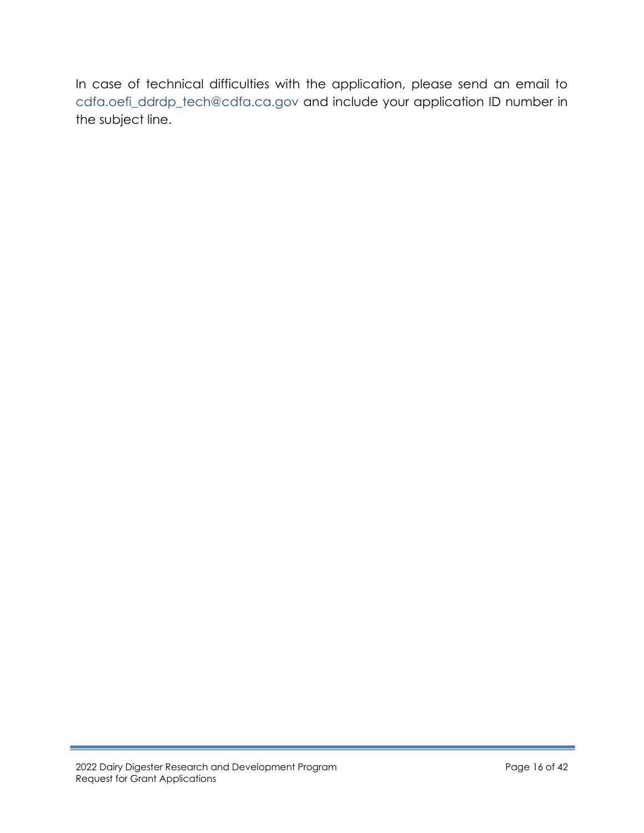In case of technical difficulties with the application, please send an email to [cdfa.oefi\\_ddrdp\\_tech@cdfa.ca.gov](mailto:cdfa.oefi_ddrdp_tech@cdfa.ca.gov) and include your application ID number in the subject line.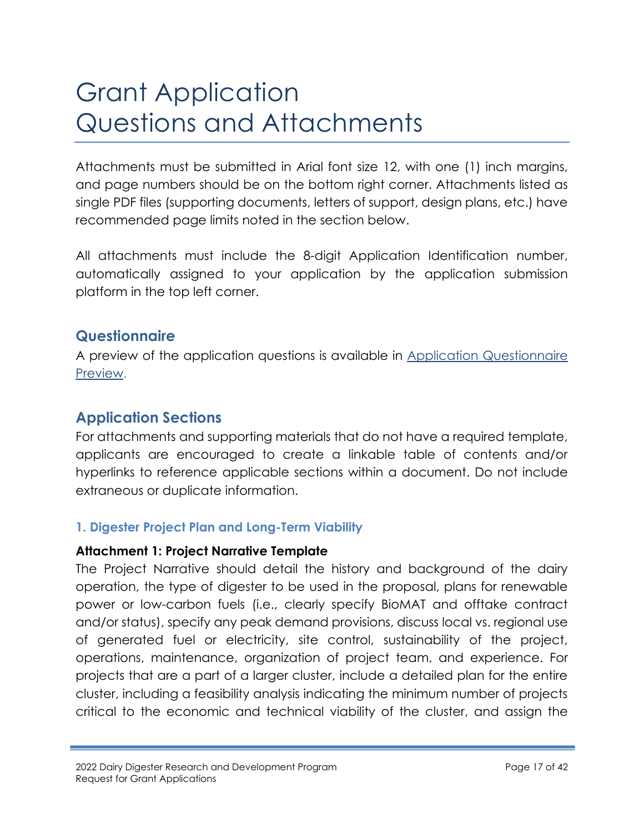## <span id="page-16-1"></span><span id="page-16-0"></span>Grant Application Questions and Attachments

Attachments must be submitted in Arial font size 12, with one (1) inch margins, and page numbers should be on the bottom right corner. Attachments listed as single PDF files (supporting documents, letters of support, design plans, etc.) have recommended page limits noted in the section below.

All attachments must include the 8-digit Application Identification number, automatically assigned to your application by the application submission platform in the top left corner.

### <span id="page-16-2"></span>**Questionnaire**

A preview of the application questions is available in [Application Questionnaire](https://www.cdfa.ca.gov/oefi/DDRDP/docs/2022_DDRDP_Questionnaire.pdf)  [Preview](https://www.cdfa.ca.gov/oefi/DDRDP/docs/2022_DDRDP_Questionnaire.pdf).

### <span id="page-16-3"></span>**Application Sections**

For attachments and supporting materials that do not have a required template, applicants are encouraged to create a linkable table of contents and/or hyperlinks to reference applicable sections within a document. Do not include extraneous or duplicate information.

#### <span id="page-16-4"></span>**1. Digester Project Plan and Long-Term Viability**

#### **Attachment 1: [Project](file:///C:/Users/steven.hall/AppData/Local/Microsoft/Windows/INetCache/Content.Outlook/E985YNDL/Project%20Implementation%20Plan.docx) Narrative Template**

The Project Narrative should detail the history and background of the dairy operation, the type of digester to be used in the proposal, plans for renewable power or low-carbon fuels (i.e., clearly specify BioMAT and offtake contract and/or status), specify any peak demand provisions, discuss local vs. regional use of generated fuel or electricity, site control, sustainability of the project, operations, maintenance, organization of project team, and experience. For projects that are a part of a larger cluster, include a detailed plan for the entire cluster, including a feasibility analysis indicating the minimum number of projects critical to the economic and technical viability of the cluster, and assign the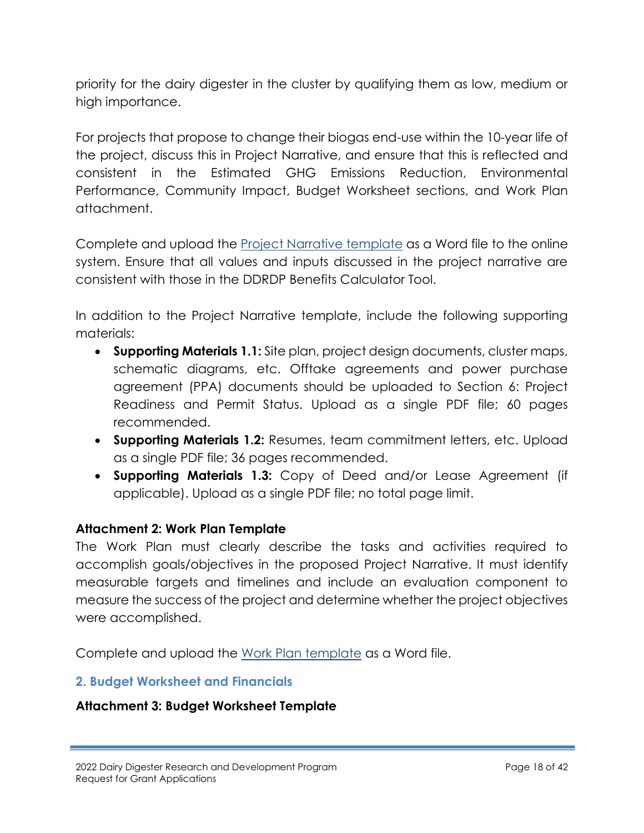priority for the dairy digester in the cluster by qualifying them as low, medium or high importance.

For projects that propose to change their biogas end-use within the 10-year life of the project, discuss this in Project Narrative, and ensure that this is reflected and consistent in the Estimated GHG Emissions Reduction, Environmental Performance, Community Impact, Budget Worksheet sections, and Work Plan attachment.

Complete and upload the [Project Narrative template](https://www.cdfa.ca.gov/oefi/DDRDP/docs/2022_DDRDP_Project_Narrative_Template.docx) as a Word file to the online system. Ensure that all values and inputs discussed in the project narrative are consistent with those in the DDRDP Benefits Calculator Tool.

In addition to the Project Narrative template, include the following supporting materials:

- **Supporting Materials 1.1:** Site plan, project design documents, cluster maps, schematic diagrams, etc. Offtake agreements and power purchase agreement (PPA) documents should be uploaded to Section 6: Project Readiness and Permit Status. Upload as a single PDF file; 60 pages recommended.
- **Supporting Materials 1.2:** Resumes, team commitment letters, etc. Upload as a single PDF file; 36 pages recommended.
- **Supporting Materials 1.3:** Copy of Deed and/or Lease Agreement (if applicable). Upload as a single PDF file; no total page limit.

#### **Attachment 2: Work Plan Template**

The Work Plan must clearly describe the tasks and activities required to accomplish goals/objectives in the proposed Project Narrative. It must identify measurable targets and timelines and include an evaluation component to measure the success of the project and determine whether the project objectives were accomplished.

Complete and upload the [Work Plan template](https://www.cdfa.ca.gov/oefi/DDRDP/docs/2022_DDRDP_WorkPlan_Template.docx) as a Word file.

#### <span id="page-17-0"></span>**2. Budget Worksheet and Financials**

#### **Attachment 3: Budget Worksheet Template**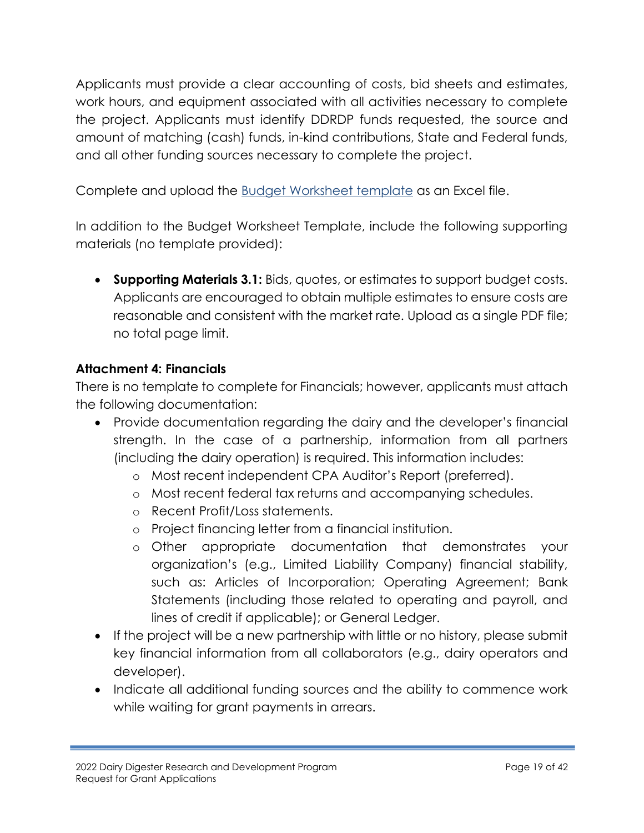Applicants must provide a clear accounting of costs, bid sheets and estimates, work hours, and equipment associated with all activities necessary to complete the project. Applicants must identify DDRDP funds requested, the source and amount of matching (cash) funds, in-kind contributions, State and Federal funds, and all other funding sources necessary to complete the project.

Complete and upload the [Budget Worksheet template](https://www.cdfa.ca.gov/oefi/DDRDP/docs/2022_DDRDP_BudgetWorksheet_Template.xlsx) as an Excel file.

In addition to the Budget Worksheet Template, include the following supporting materials (no template provided):

• **Supporting Materials 3.1:** Bids, quotes, or estimates to support budget costs. Applicants are encouraged to obtain multiple estimates to ensure costs are reasonable and consistent with the market rate. Upload as a single PDF file; no total page limit.

### **Attachment 4: Financials**

There is no template to complete for Financials; however, applicants must attach the following documentation:

- Provide documentation regarding the dairy and the developer's financial strength. In the case of a partnership, information from all partners (including the dairy operation) is required. This information includes:
	- o Most recent independent CPA Auditor's Report (preferred).
	- o Most recent federal tax returns and accompanying schedules.
	- o Recent Profit/Loss statements.
	- o Project financing letter from a financial institution.
	- o Other appropriate documentation that demonstrates your organization's (e.g., Limited Liability Company) financial stability, such as: Articles of Incorporation; Operating Agreement; Bank Statements (including those related to operating and payroll, and lines of credit if applicable); or General Ledger.
- If the project will be a new partnership with little or no history, please submit key financial information from all collaborators (e.g., dairy operators and developer).
- Indicate all additional funding sources and the ability to commence work while waiting for grant payments in arrears.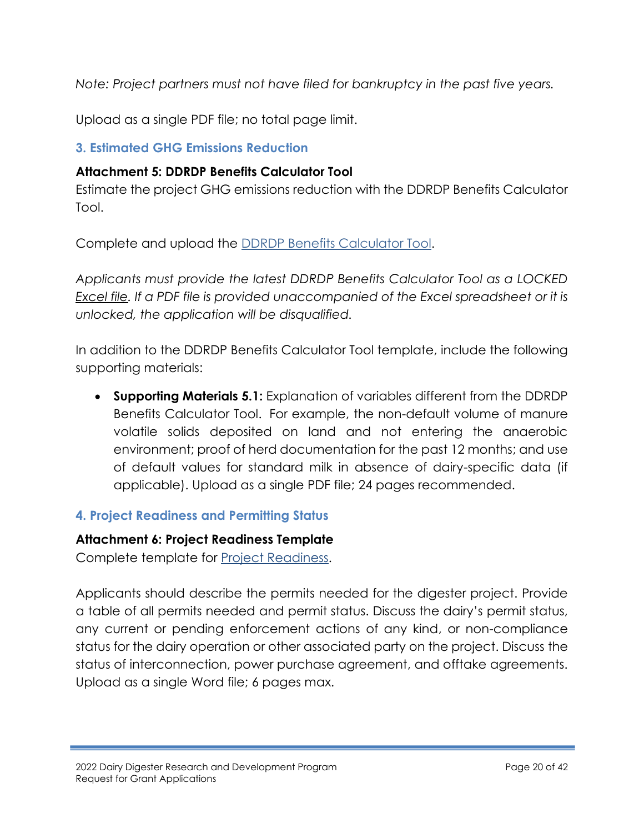*Note: Project partners must not have filed for bankruptcy in the past five years.* 

Upload as a single PDF file; no total page limit.

### <span id="page-19-0"></span>**3. Estimated GHG Emissions Reduction**

#### **Attachment 5: DDRDP Benefits Calculator Tool**

Estimate the project GHG emissions reduction with the DDRDP Benefits Calculator Tool.

Complete and upload the [DDRDP Benefits Calculator Tool.](https://ww2.arb.ca.gov/resources/documents/cci-quantification-benefits-and-reporting-materials)

*Applicants must provide the latest DDRDP Benefits Calculator Tool as a LOCKED Excel file. If a PDF file is provided unaccompanied of the Excel spreadsheet or it is unlocked, the application will be disqualified.*

In addition to the DDRDP Benefits Calculator Tool template, include the following supporting materials:

• **Supporting Materials 5.1:** Explanation of variables different from the DDRDP Benefits Calculator Tool. For example, the non-default volume of manure volatile solids deposited on land and not entering the anaerobic environment; proof of herd documentation for the past 12 months; and use of default values for standard milk in absence of dairy-specific data (if applicable). Upload as a single PDF file; 24 pages recommended.

#### <span id="page-19-1"></span>**4. Project Readiness and Permitting Status**

**Attachment 6: Project Readiness Template** 

Complete template for [Project Readiness.](https://www.cdfa.ca.gov/oefi/DDRDP/docs/2022_DDRDP_Project_Readiness_Template.docx)

Applicants should describe the permits needed for the digester project. Provide a table of all permits needed and permit status. Discuss the dairy's permit status, any current or pending enforcement actions of any kind, or non-compliance status for the dairy operation or other associated party on the project. Discuss the status of interconnection, power purchase agreement, and offtake agreements. Upload as a single Word file; 6 pages max.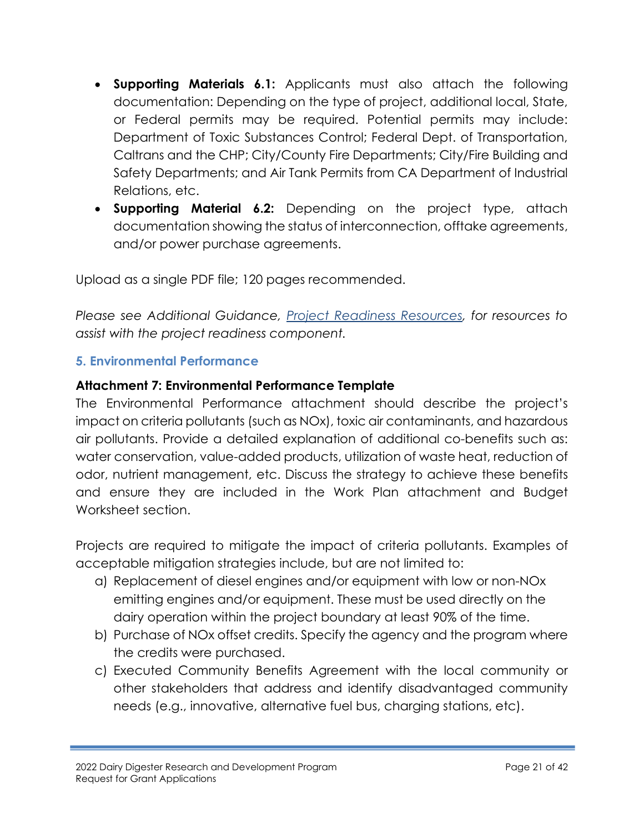- **Supporting Materials 6.1:** Applicants must also attach the following documentation: Depending on the type of project, additional local, State, or Federal permits may be required. Potential permits may include: Department of Toxic Substances Control; Federal Dept. of Transportation, Caltrans and the CHP; City/County Fire Departments; City/Fire Building and Safety Departments; and Air Tank Permits from CA Department of Industrial Relations, etc.
- **Supporting Material 6.2:** Depending on the project type, attach documentation showing the status of interconnection, offtake agreements, and/or power purchase agreements.

Upload as a single PDF file; 120 pages recommended.

*Please see Additional Guidance, [Project Readiness Resources,](#page-26-0) for resources to assist with the project readiness component.*

#### <span id="page-20-0"></span>**5. Environmental Performance**

#### **Attachment 7: Environmental Performance Template**

The Environmental Performance attachment should describe the project's impact on criteria pollutants (such as NOx), toxic air contaminants, and hazardous air pollutants. Provide a detailed explanation of additional co-benefits such as: water conservation, value-added products, utilization of waste heat, reduction of odor, nutrient management, etc. Discuss the strategy to achieve these benefits and ensure they are included in the Work Plan attachment and Budget Worksheet section.

Projects are required to mitigate the impact of criteria pollutants. Examples of acceptable mitigation strategies include, but are not limited to:

- a) Replacement of diesel engines and/or equipment with low or non-NOx emitting engines and/or equipment. These must be used directly on the dairy operation within the project boundary at least 90% of the time.
- b) Purchase of NOx offset credits. Specify the agency and the program where the credits were purchased.
- c) Executed Community Benefits Agreement with the local community or other stakeholders that address and identify disadvantaged community needs (e.g., innovative, alternative fuel bus, charging stations, etc).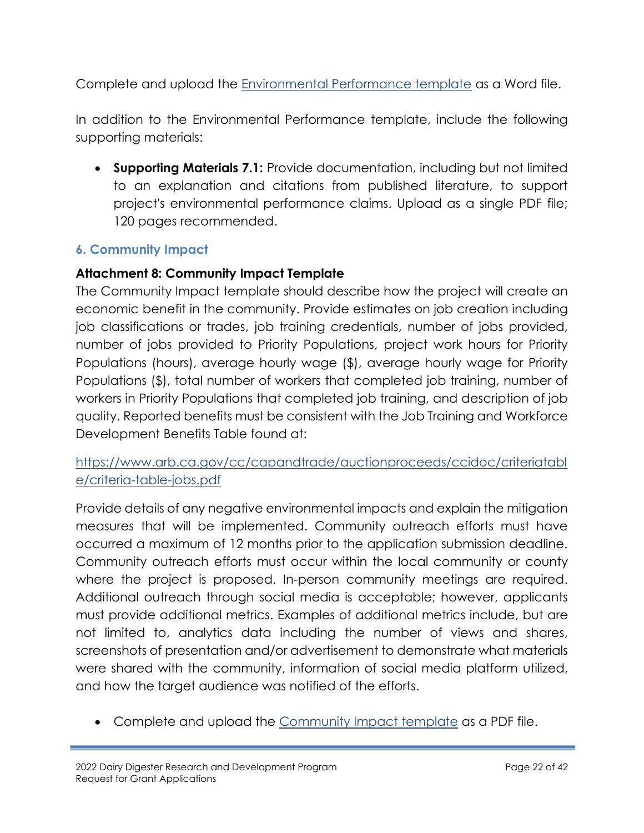Complete and upload the [Environmental Performance template](https://www.cdfa.ca.gov/oefi/DDRDP/docs/2022_DDRDP_Environmental_Performance_Template.docx) as a Word file.

In addition to the Environmental Performance template, include the following supporting materials:

• **Supporting Materials 7.1:** Provide documentation, including but not limited to an explanation and citations from published literature, to support project's environmental performance claims. Upload as a single PDF file; 120 pages recommended.

#### <span id="page-21-0"></span>**6. Community Impact**

#### **Attachment 8: Community Impact Template**

The Community Impact template should describe how the project will create an economic benefit in the community. Provide estimates on job creation including job classifications or trades, job training credentials, number of jobs provided, number of jobs provided to Priority Populations, project work hours for Priority Populations (hours), average hourly wage (\$), average hourly wage for Priority Populations (\$), total number of workers that completed job training, number of workers in Priority Populations that completed job training, and description of job quality. Reported benefits must be consistent with the Job Training and Workforce Development Benefits Table found at:

[https://www.arb.ca.gov/cc/capandtrade/auctionproceeds/ccidoc/criteriatabl](https://www.arb.ca.gov/cc/capandtrade/auctionproceeds/ccidoc/criteriatable/criteria-table-jobs.pdf) [e/criteria-table-jobs.pdf](https://www.arb.ca.gov/cc/capandtrade/auctionproceeds/ccidoc/criteriatable/criteria-table-jobs.pdf)

Provide details of any negative environmental impacts and explain the mitigation measures that will be implemented. Community outreach efforts must have occurred a maximum of 12 months prior to the application submission deadline. Community outreach efforts must occur within the local community or county where the project is proposed. In-person community meetings are required. Additional outreach through social media is acceptable; however, applicants must provide additional metrics. Examples of additional metrics include, but are not limited to, analytics data including the number of views and shares, screenshots of presentation and/or advertisement to demonstrate what materials were shared with the community, information of social media platform utilized, and how the target audience was notified of the efforts.

• Complete and upload the [Community Impact template](https://www.cdfa.ca.gov/oefi/DDRDP/docs/2022_DDRDP_Community_Impact_Template.docx) as a PDF file.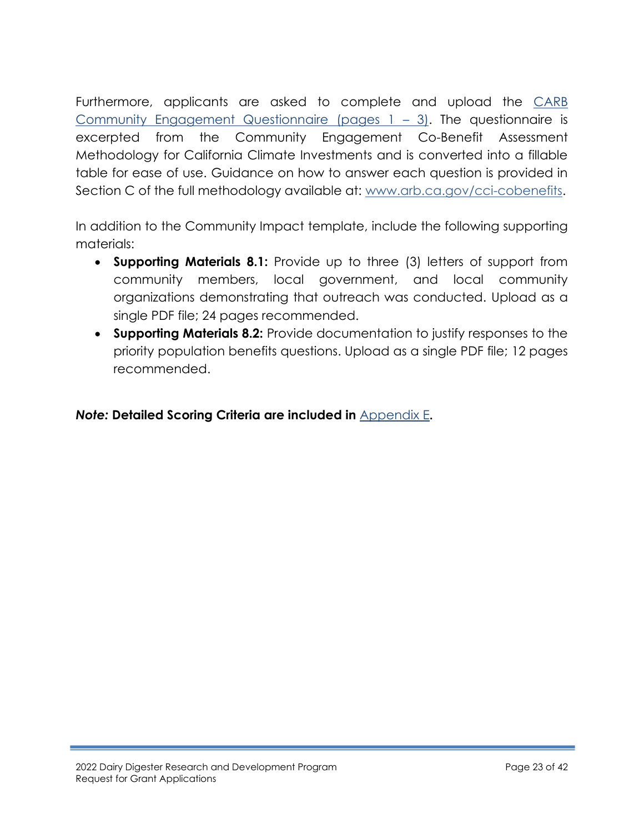Furthermore, applicants are asked to complete and upload the CARB [Community Engagement Questionnaire](https://www.arb.ca.gov/cc/capandtrade/auctionproceeds/final_communityengagement_fillable.pdf?_ga=2.261992333.160684799.1545079685-802572095.1532978244) (pages 1 – 3). The questionnaire is excerpted from the Community Engagement Co-Benefit Assessment Methodology for California Climate Investments and is converted into a fillable table for ease of use. Guidance on how to answer each question is provided in Section C of the full methodology available at: [www.arb.ca.gov/cci-cobenefits.](http://www.arb.ca.gov/cci-cobenefits)

In addition to the Community Impact template, include the following supporting materials:

- **Supporting Materials 8.1:** Provide up to three (3) letters of support from community members, local government, and local community organizations demonstrating that outreach was conducted. Upload as a single PDF file; 24 pages recommended.
- **Supporting Materials 8.2:** Provide documentation to justify responses to the priority population benefits questions. Upload as a single PDF file; 12 pages recommended.

#### *Note:* **Detailed Scoring Criteria are included in** [Appendix E](#page-37-0)**.**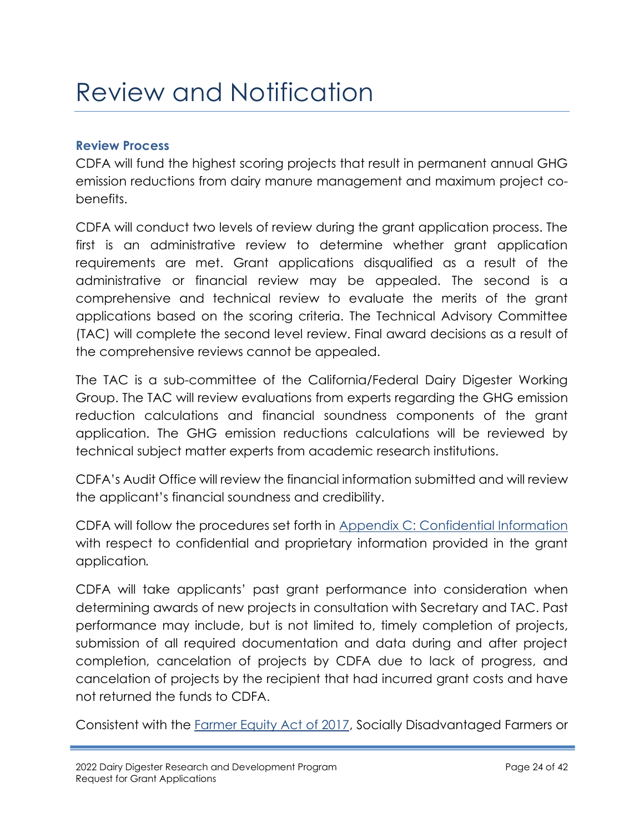## <span id="page-23-0"></span>Review and Notification

#### <span id="page-23-1"></span>**Review Process**

CDFA will fund the highest scoring projects that result in permanent annual GHG emission reductions from dairy manure management and maximum project cobenefits.

CDFA will conduct two levels of review during the grant application process. The first is an administrative review to determine whether grant application requirements are met. Grant applications disqualified as a result of the administrative or financial review may be appealed. The second is a comprehensive and technical review to evaluate the merits of the grant applications based on the scoring criteria. The Technical Advisory Committee (TAC) will complete the second level review. Final award decisions as a result of the comprehensive reviews cannot be appealed.

The TAC is a sub-committee of the California/Federal Dairy Digester Working Group. The TAC will review evaluations from experts regarding the GHG emission reduction calculations and financial soundness components of the grant application. The GHG emission reductions calculations will be reviewed by technical subject matter experts from academic research institutions.

CDFA's Audit Office will review the financial information submitted and will review the applicant's financial soundness and credibility.

CDFA will follow the procedures set forth in [Appendix C: Confidential Information](#page-33-0) with respect to confidential and proprietary information provided in the grant application*.*

CDFA will take applicants' past grant performance into consideration when determining awards of new projects in consultation with Secretary and TAC. Past performance may include, but is not limited to, timely completion of projects, submission of all required documentation and data during and after project completion, cancelation of projects by CDFA due to lack of progress, and cancelation of projects by the recipient that had incurred grant costs and have not returned the funds to CDFA.

Consistent with the [Farmer Equity Act of 2017,](https://leginfo.legislature.ca.gov/faces/billTextClient.xhtml?bill_id=201720180AB1348) Socially Disadvantaged Farmers or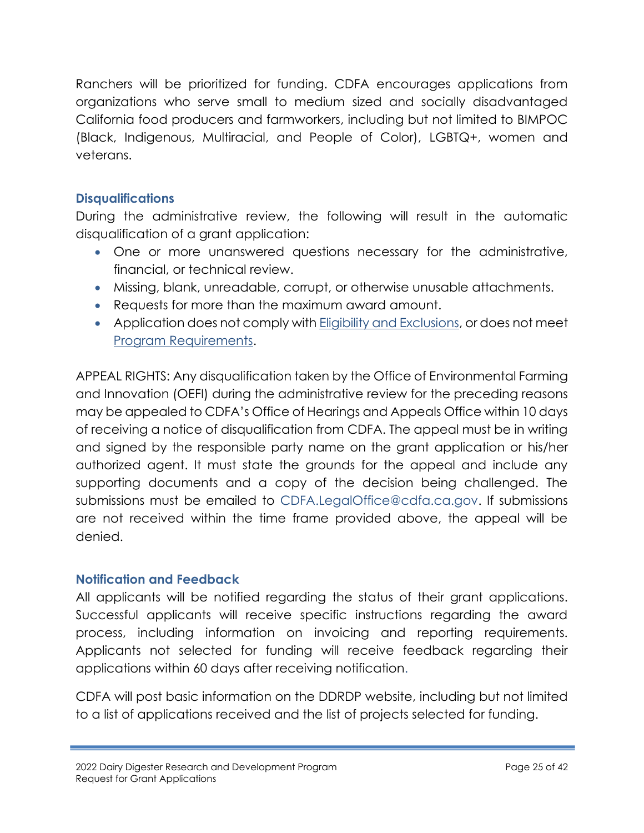Ranchers will be prioritized for funding. CDFA encourages applications from organizations who serve small to medium sized and socially disadvantaged California food producers and farmworkers, including but not limited to BIMPOC (Black, Indigenous, Multiracial, and People of Color), LGBTQ+, women and veterans.

#### <span id="page-24-0"></span>**Disqualifications**

During the administrative review, the following will result in the automatic disqualification of a grant application:

- One or more unanswered questions necessary for the administrative, financial, or technical review.
- Missing, blank, unreadable, corrupt, or otherwise unusable attachments.
- Requests for more than the maximum award amount.
- Application does not comply with **Eligibility and Exclusions**, or does not meet [Program Requirements.](#page-7-1)

APPEAL RIGHTS: Any disqualification taken by the Office of Environmental Farming and Innovation (OEFI) during the administrative review for the preceding reasons may be appealed to CDFA's Office of Hearings and Appeals Office within 10 days of receiving a notice of disqualification from CDFA. The appeal must be in writing and signed by the responsible party name on the grant application or his/her authorized agent. It must state the grounds for the appeal and include any supporting documents and a copy of the decision being challenged. The submissions must be emailed to [CDFA.LegalOffice@cdfa.ca.gov.](mailto:CDFA.LegalOffice@cdfa.ca.gov) If submissions are not received within the time frame provided above, the appeal will be denied.

#### <span id="page-24-1"></span>**Notification and Feedback**

All applicants will be notified regarding the status of their grant applications. Successful applicants will receive specific instructions regarding the award process, including information on invoicing and reporting requirements. Applicants not selected for funding will receive feedback regarding their applications within 60 days after receiving notification.

CDFA will post basic information on the DDRDP website, including but not limited to a list of applications received and the list of projects selected for funding.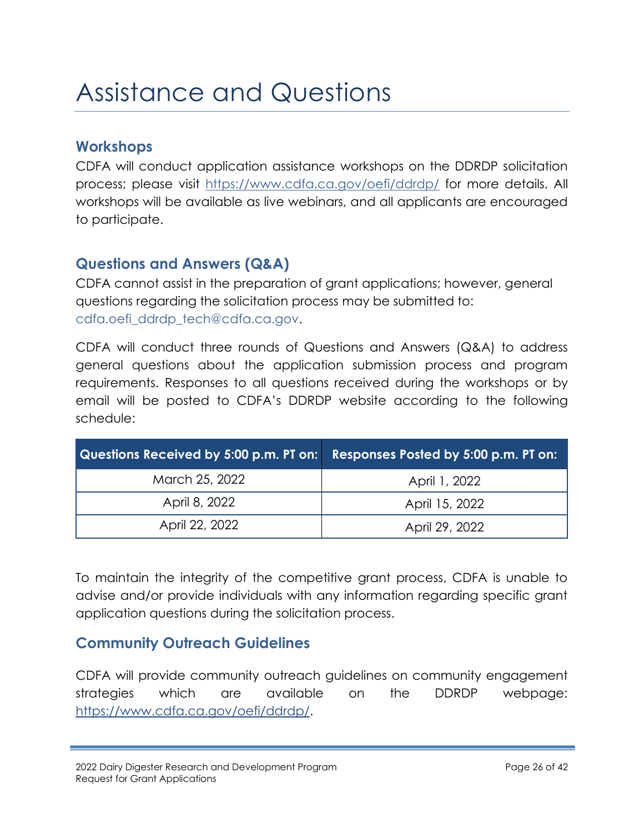## <span id="page-25-0"></span>Assistance and Questions

### <span id="page-25-1"></span>**Workshops**

CDFA will conduct application assistance workshops on the DDRDP solicitation process; please visit<https://www.cdfa.ca.gov/oefi/ddrdp/> for more details. All workshops will be available as live webinars, and all applicants are encouraged to participate.

## <span id="page-25-2"></span>**Questions and Answers (Q&A)**

CDFA cannot assist in the preparation of grant applications; however, general questions regarding the solicitation process may be submitted to: [cdfa.oefi\\_ddrdp\\_tech@cdfa.ca.gov.](mailto:cdfa.oefi_ddrdp_tech@cdfa.ca.gov)

CDFA will conduct three rounds of Questions and Answers (Q&A) to address general questions about the application submission process and program requirements. Responses to all questions received during the workshops or by email will be posted to CDFA's DDRDP website according to the following schedule:

| Questions Received by 5:00 p.m. PT on: Responses Posted by 5:00 p.m. PT on: |                |
|-----------------------------------------------------------------------------|----------------|
| March 25, 2022                                                              | April 1, 2022  |
| April 8, 2022                                                               | April 15, 2022 |
| April 22, 2022                                                              | April 29, 2022 |

To maintain the integrity of the competitive grant process, CDFA is unable to advise and/or provide individuals with any information regarding specific grant application questions during the solicitation process.

## **Community Outreach Guidelines**

CDFA will provide community outreach guidelines on community engagement strategies which are available on the DDRDP webpage: [https://www.cdfa.ca.gov/oefi/ddrdp/.](https://www.cdfa.ca.gov/oefi/ddrdp/)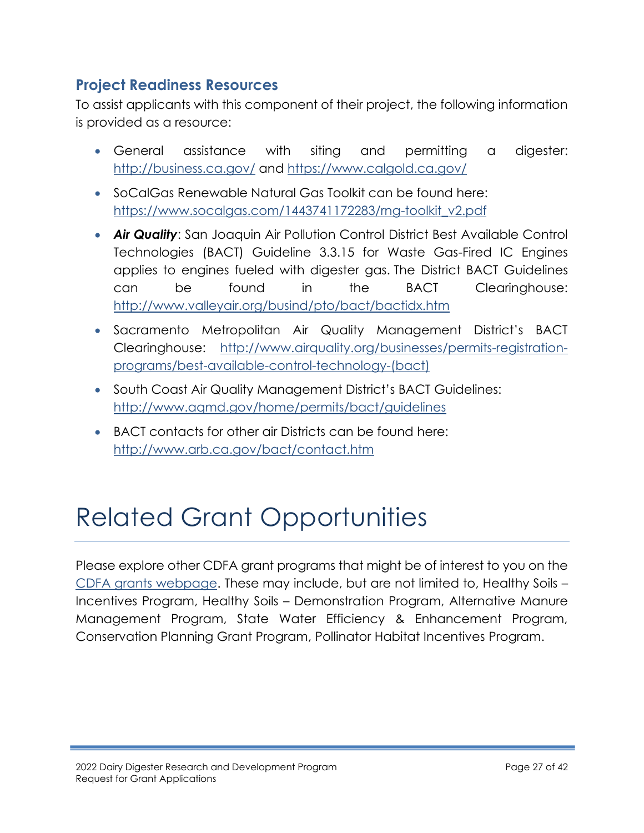## <span id="page-26-0"></span>**Project Readiness Resources**

To assist applicants with this component of their project, the following information is provided as a resource:

- General assistance with siting and permitting a digester: <http://business.ca.gov/> and<https://www.calgold.ca.gov/>
- SoCalGas Renewable Natural Gas Toolkit can be found here: [https://www.socalgas.com/1443741172283/rng-toolkit\\_v2.pdf](https://www.socalgas.com/1443741172283/rng-toolkit_v2.pdf)
- *Air Quality*: San Joaquin Air Pollution Control District Best Available Control Technologies (BACT) Guideline 3.3.15 for Waste Gas-Fired IC Engines applies to engines fueled with digester gas. The District BACT Guidelines can be found in the BACT Clearinghouse: <http://www.valleyair.org/busind/pto/bact/bactidx.htm>
- Sacramento Metropolitan Air Quality Management District's BACT Clearinghouse: [http://www.airquality.org/businesses/permits-registration](http://www.airquality.org/businesses/permits-registration-programs/best-available-control-technology-(bact))[programs/best-available-control-technology-\(bact\)](http://www.airquality.org/businesses/permits-registration-programs/best-available-control-technology-(bact))
- South Coast Air Quality Management District's BACT Guidelines: <http://www.aqmd.gov/home/permits/bact/guidelines>
- BACT contacts for other air Districts can be found here: <http://www.arb.ca.gov/bact/contact.htm>

## <span id="page-26-1"></span>Related Grant Opportunities

Please explore other CDFA grant programs that might be of interest to you on the [CDFA grants webpage.](https://www.cdfa.ca.gov/grants/) These may include, but are not limited to, Healthy Soils – Incentives Program, Healthy Soils – Demonstration Program, Alternative Manure Management Program, State Water Efficiency & Enhancement Program, Conservation Planning Grant Program, Pollinator Habitat Incentives Program.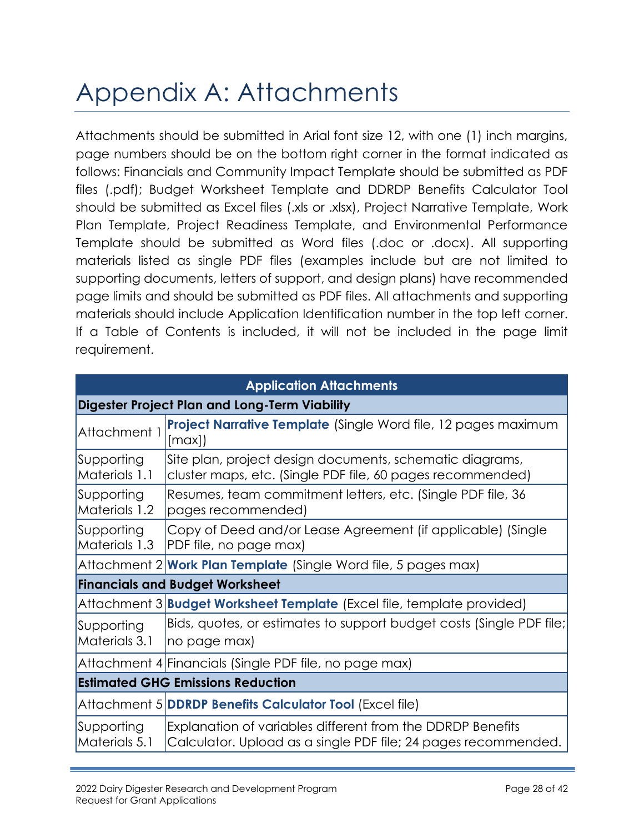## <span id="page-27-0"></span>Appendix A: Attachments

Attachments should be submitted in Arial font size 12, with one (1) inch margins, page numbers should be on the bottom right corner in the format indicated as follows: Financials and Community Impact Template should be submitted as PDF files (.pdf); Budget Worksheet Template and DDRDP Benefits Calculator Tool should be submitted as Excel files (.xls or .xlsx), Project Narrative Template, Work Plan Template, Project Readiness Template, and Environmental Performance Template should be submitted as Word files (.doc or .docx). All supporting materials listed as single PDF files (examples include but are not limited to supporting documents, letters of support, and design plans) have recommended page limits and should be submitted as PDF files. All attachments and supporting materials should include Application Identification number in the top left corner. If a Table of Contents is included, it will not be included in the page limit requirement.

| <b>Application Attachments</b>           |                                                                                                                              |  |
|------------------------------------------|------------------------------------------------------------------------------------------------------------------------------|--|
|                                          | <b>Digester Project Plan and Long-Term Viability</b>                                                                         |  |
| Attachment 1                             | <b>Project Narrative Template</b> (Single Word file, 12 pages maximum<br>[max]                                               |  |
| Supporting<br>Materials 1.1              | Site plan, project design documents, schematic diagrams,<br>cluster maps, etc. (Single PDF file, 60 pages recommended)       |  |
| Supporting<br>Materials 1.2              | Resumes, team commitment letters, etc. (Single PDF file, 36<br>pages recommended)                                            |  |
| Supporting<br>Materials 1.3              | Copy of Deed and/or Lease Agreement (if applicable) (Single<br>PDF file, no page max)                                        |  |
|                                          | Attachment 2 <b>Work Plan Template</b> (Single Word file, 5 pages max)                                                       |  |
| <b>Financials and Budget Worksheet</b>   |                                                                                                                              |  |
|                                          | Attachment 3 <b>Budget Worksheet Template</b> (Excel file, template provided)                                                |  |
| Supporting<br>Materials 3.1              | Bids, quotes, or estimates to support budget costs (Single PDF file;<br> no page max)                                        |  |
|                                          | Attachment 4   Financials (Single PDF file, no page max)                                                                     |  |
| <b>Estimated GHG Emissions Reduction</b> |                                                                                                                              |  |
|                                          | Attachment 5 DDRDP Benefits Calculator Tool (Excel file)                                                                     |  |
| Supporting<br>Materials 5.1              | Explanation of variables different from the DDRDP Benefits<br>Calculator. Upload as a single PDF file; 24 pages recommended. |  |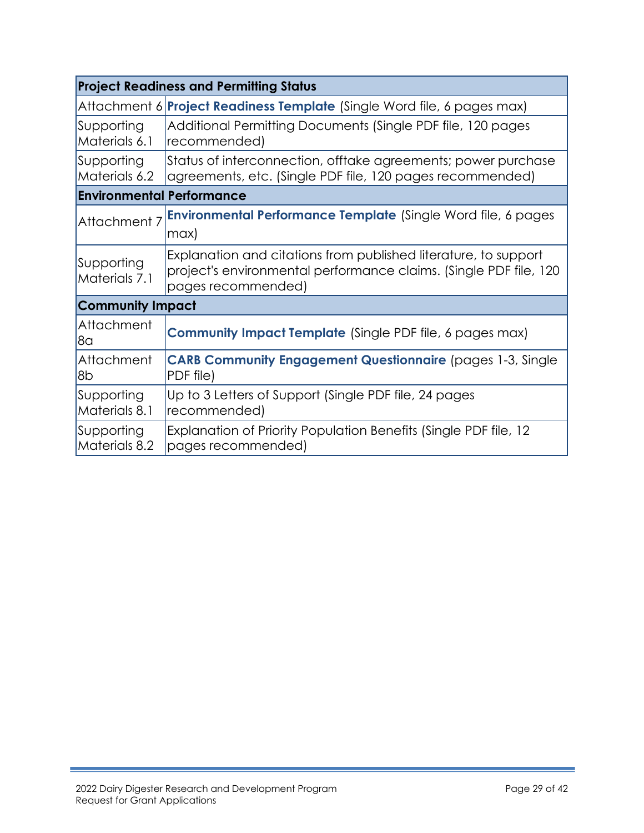| <b>Project Readiness and Permitting Status</b> |                                                                                                                                                            |  |
|------------------------------------------------|------------------------------------------------------------------------------------------------------------------------------------------------------------|--|
|                                                | Attachment 6 <b>Project Readiness Template</b> (Single Word file, 6 pages max)                                                                             |  |
| Supporting<br>Materials 6.1                    | Additional Permitting Documents (Single PDF file, 120 pages<br> recommended)                                                                               |  |
| Supporting<br>Materials 6.2                    | Status of interconnection, offtake agreements; power purchase<br>agreements, etc. (Single PDF file, 120 pages recommended)                                 |  |
| <b>Environmental Performance</b>               |                                                                                                                                                            |  |
| Attachment 7                                   | <b>Environmental Performance Template</b> (Single Word file, 6 pages<br>max)                                                                               |  |
| Supporting<br>Materials 7.1                    | Explanation and citations from published literature, to support<br>project's environmental performance claims. (Single PDF file, 120<br>pages recommended) |  |
| <b>Community Impact</b>                        |                                                                                                                                                            |  |
| Attachment<br>18a                              | <b>Community Impact Template</b> (Single PDF file, 6 pages max)                                                                                            |  |
| <b>Attachment</b><br>l8b                       | <b>CARB Community Engagement Questionnaire (pages 1-3, Single</b><br>PDF file)                                                                             |  |
| Supporting<br>Materials 8.1                    | Up to 3 Letters of Support (Single PDF file, 24 pages<br>recommended)                                                                                      |  |
| Supporting<br><b>Materials 8.2</b>             | Explanation of Priority Population Benefits (Single PDF file, 12<br>pages recommended)                                                                     |  |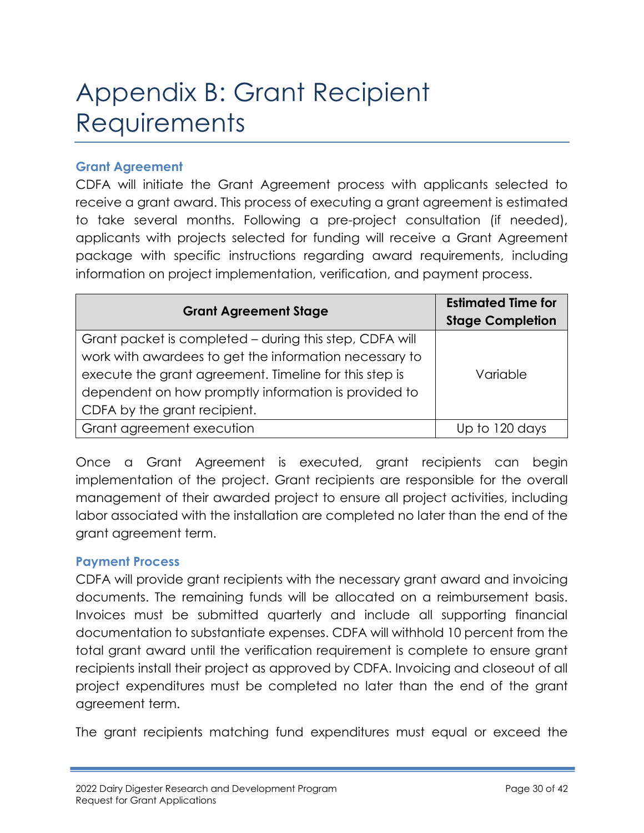## <span id="page-29-0"></span>Appendix B: Grant Recipient **Requirements**

#### <span id="page-29-1"></span>**Grant Agreement**

CDFA will initiate the Grant Agreement process with applicants selected to receive a grant award. This process of executing a grant agreement is estimated to take several months. Following a pre-project consultation (if needed), applicants with projects selected for funding will receive a Grant Agreement package with specific instructions regarding award requirements, including information on project implementation, verification, and payment process.

| <b>Grant Agreement Stage</b>                                                                                                                                                                                                                                        | <b>Estimated Time for</b><br><b>Stage Completion</b> |
|---------------------------------------------------------------------------------------------------------------------------------------------------------------------------------------------------------------------------------------------------------------------|------------------------------------------------------|
| Grant packet is completed - during this step, CDFA will<br>work with awardees to get the information necessary to<br>execute the grant agreement. Timeline for this step is<br>dependent on how promptly information is provided to<br>CDFA by the grant recipient. | Variable                                             |
| Grant agreement execution                                                                                                                                                                                                                                           | Up to 120 days                                       |

Once a Grant Agreement is executed, grant recipients can begin implementation of the project. Grant recipients are responsible for the overall management of their awarded project to ensure all project activities, including labor associated with the installation are completed no later than the end of the grant agreement term.

#### <span id="page-29-2"></span>**Payment Process**

CDFA will provide grant recipients with the necessary grant award and invoicing documents. The remaining funds will be allocated on a reimbursement basis. Invoices must be submitted quarterly and include all supporting financial documentation to substantiate expenses. CDFA will withhold 10 percent from the total grant award until the verification requirement is complete to ensure grant recipients install their project as approved by CDFA. Invoicing and closeout of all project expenditures must be completed no later than the end of the grant agreement term.

The grant recipients matching fund expenditures must equal or exceed the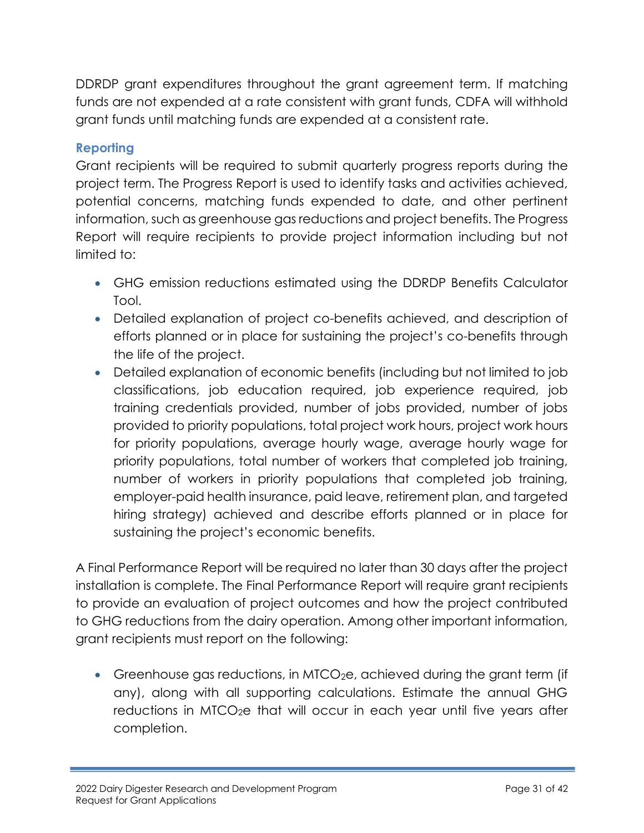DDRDP grant expenditures throughout the grant agreement term. If matching funds are not expended at a rate consistent with grant funds, CDFA will withhold grant funds until matching funds are expended at a consistent rate.

### <span id="page-30-0"></span>**Reporting**

Grant recipients will be required to submit quarterly progress reports during the project term. The Progress Report is used to identify tasks and activities achieved, potential concerns, matching funds expended to date, and other pertinent information, such as greenhouse gas reductions and project benefits. The Progress Report will require recipients to provide project information including but not limited to:

- GHG emission reductions estimated using the DDRDP Benefits Calculator Tool.
- Detailed explanation of project co-benefits achieved, and description of efforts planned or in place for sustaining the project's co-benefits through the life of the project.
- Detailed explanation of economic benefits (including but not limited to job classifications, job education required, job experience required, job training credentials provided, number of jobs provided, number of jobs provided to priority populations, total project work hours, project work hours for priority populations, average hourly wage, average hourly wage for priority populations, total number of workers that completed job training, number of workers in priority populations that completed job training, employer-paid health insurance, paid leave, retirement plan, and targeted hiring strategy) achieved and describe efforts planned or in place for sustaining the project's economic benefits.

A Final Performance Report will be required no later than 30 days after the project installation is complete. The Final Performance Report will require grant recipients to provide an evaluation of project outcomes and how the project contributed to GHG reductions from the dairy operation. Among other important information, grant recipients must report on the following:

• Greenhouse gas reductions, in MTCO<sub>2</sub>e, achieved during the grant term (if any), along with all supporting calculations. Estimate the annual GHG reductions in MTCO<sub>2</sub>e that will occur in each year until five years after completion.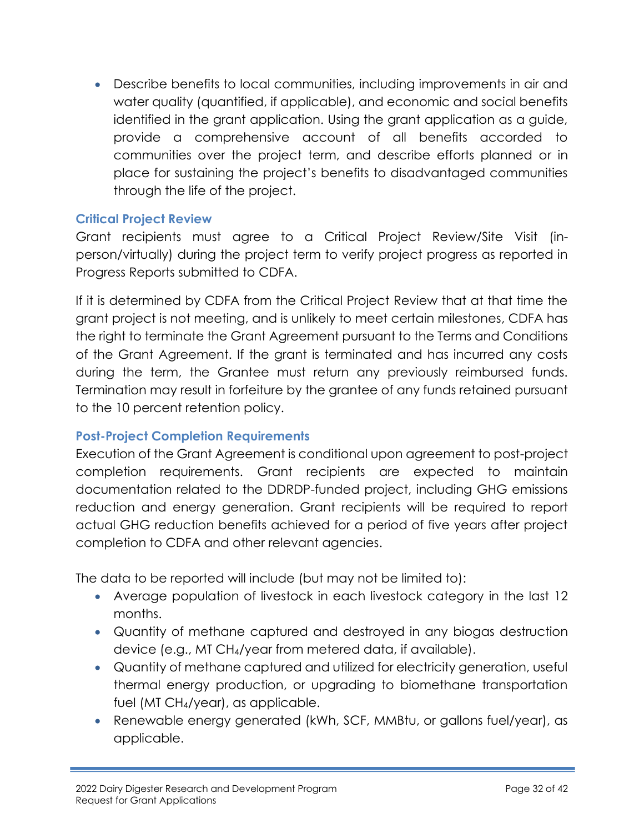• Describe benefits to local communities, including improvements in air and water quality (quantified, if applicable), and economic and social benefits identified in the grant application. Using the grant application as a guide, provide a comprehensive account of all benefits accorded to communities over the project term, and describe efforts planned or in place for sustaining the project's benefits to disadvantaged communities through the life of the project.

#### <span id="page-31-0"></span>**Critical Project Review**

Grant recipients must agree to a Critical Project Review/Site Visit (inperson/virtually) during the project term to verify project progress as reported in Progress Reports submitted to CDFA.

If it is determined by CDFA from the Critical Project Review that at that time the grant project is not meeting, and is unlikely to meet certain milestones, CDFA has the right to terminate the Grant Agreement pursuant to the Terms and Conditions of the Grant Agreement. If the grant is terminated and has incurred any costs during the term, the Grantee must return any previously reimbursed funds. Termination may result in forfeiture by the grantee of any funds retained pursuant to the 10 percent retention policy.

#### <span id="page-31-1"></span>**Post-Project Completion Requirements**

Execution of the Grant Agreement is conditional upon agreement to post-project completion requirements. Grant recipients are expected to maintain documentation related to the DDRDP-funded project, including GHG emissions reduction and energy generation. Grant recipients will be required to report actual GHG reduction benefits achieved for a period of five years after project completion to CDFA and other relevant agencies.

The data to be reported will include (but may not be limited to):

- Average population of livestock in each livestock category in the last 12 months.
- Quantity of methane captured and destroyed in any biogas destruction device (e.g., MT CH4/year from metered data, if available).
- Quantity of methane captured and utilized for electricity generation, useful thermal energy production, or upgrading to biomethane transportation fuel (MT CH4/year), as applicable.
- Renewable energy generated (kWh, SCF, MMBtu, or gallons fuel/year), as applicable.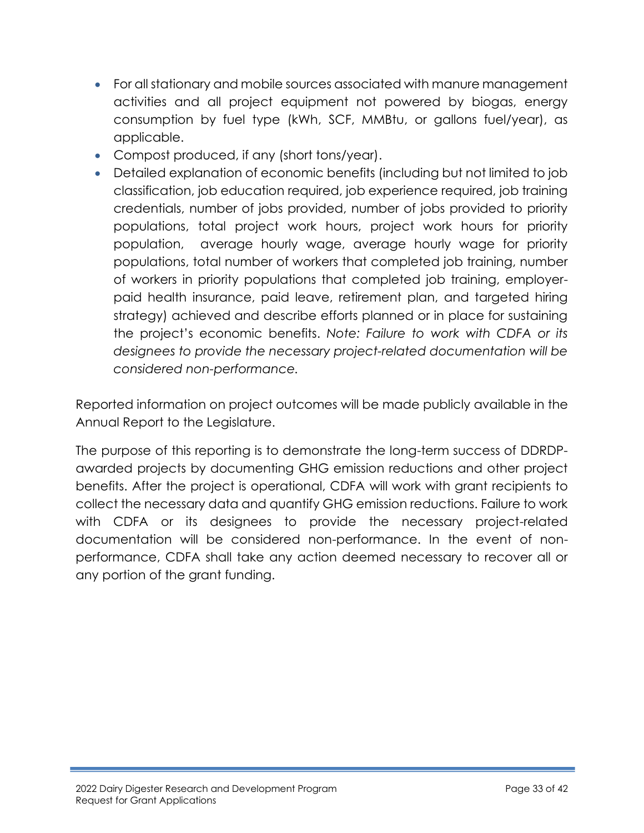- For all stationary and mobile sources associated with manure management activities and all project equipment not powered by biogas, energy consumption by fuel type (kWh, SCF, MMBtu, or gallons fuel/year), as applicable.
- Compost produced, if any (short tons/year).
- Detailed explanation of economic benefits (including but not limited to job classification, job education required, job experience required, job training credentials, number of jobs provided, number of jobs provided to priority populations, total project work hours, project work hours for priority population, average hourly wage, average hourly wage for priority populations, total number of workers that completed job training, number of workers in priority populations that completed job training, employerpaid health insurance, paid leave, retirement plan, and targeted hiring strategy) achieved and describe efforts planned or in place for sustaining the project's economic benefits. *Note: Failure to work with CDFA or its designees to provide the necessary project-related documentation will be considered non-performance.*

Reported information on project outcomes will be made publicly available in the Annual Report to the Legislature.

The purpose of this reporting is to demonstrate the long-term success of DDRDPawarded projects by documenting GHG emission reductions and other project benefits. After the project is operational, CDFA will work with grant recipients to collect the necessary data and quantify GHG emission reductions. Failure to work with CDFA or its designees to provide the necessary project-related documentation will be considered non-performance. In the event of nonperformance, CDFA shall take any action deemed necessary to recover all or any portion of the grant funding.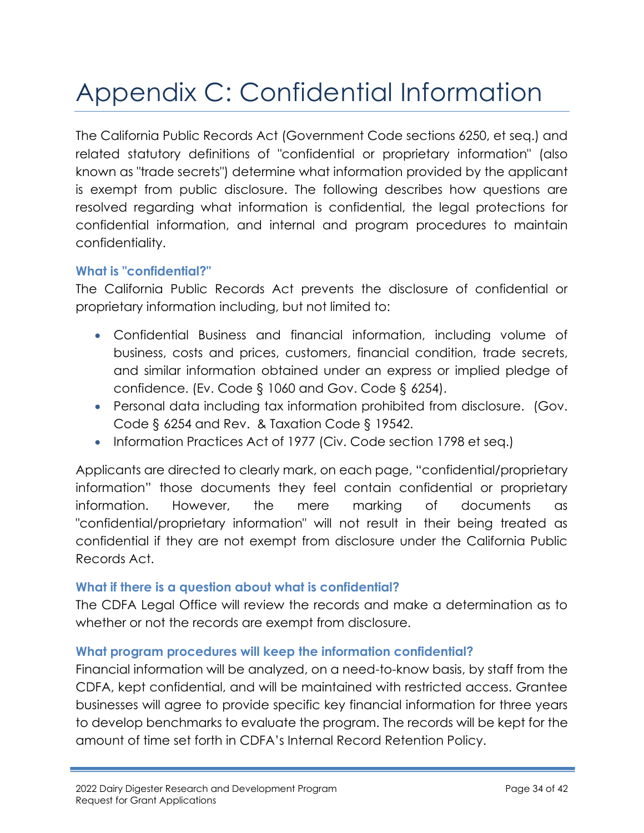## <span id="page-33-0"></span>Appendix C: Confidential Information

The California Public Records Act (Government Code sections 6250, et seq.) and related statutory definitions of "confidential or proprietary information" (also known as "trade secrets") determine what information provided by the applicant is exempt from public disclosure. The following describes how questions are resolved regarding what information is confidential, the legal protections for confidential information, and internal and program procedures to maintain confidentiality.

#### <span id="page-33-1"></span>**What is "confidential?"**

The California Public Records Act prevents the disclosure of confidential or proprietary information including, but not limited to:

- Confidential Business and financial information, including volume of business, costs and prices, customers, financial condition, trade secrets, and similar information obtained under an express or implied pledge of confidence. (Ev. Code § 1060 and Gov. Code § 6254).
- Personal data including tax information prohibited from disclosure. (Gov. Code § 6254 and Rev. & Taxation Code § 19542.
- Information Practices Act of 1977 (Civ. Code section 1798 et seq.)

Applicants are directed to clearly mark, on each page, "confidential/proprietary information" those documents they feel contain confidential or proprietary information. However, the mere marking of documents as "confidential/proprietary information" will not result in their being treated as confidential if they are not exempt from disclosure under the California Public Records Act.

#### **What if there is a question about what is confidential?**

The CDFA Legal Office will review the records and make a determination as to whether or not the records are exempt from disclosure.

#### <span id="page-33-2"></span>**What program procedures will keep the information confidential?**

Financial information will be analyzed, on a need-to-know basis, by staff from the CDFA, kept confidential, and will be maintained with restricted access. Grantee businesses will agree to provide specific key financial information for three years to develop benchmarks to evaluate the program. The records will be kept for the amount of time set forth in CDFA's Internal Record Retention Policy.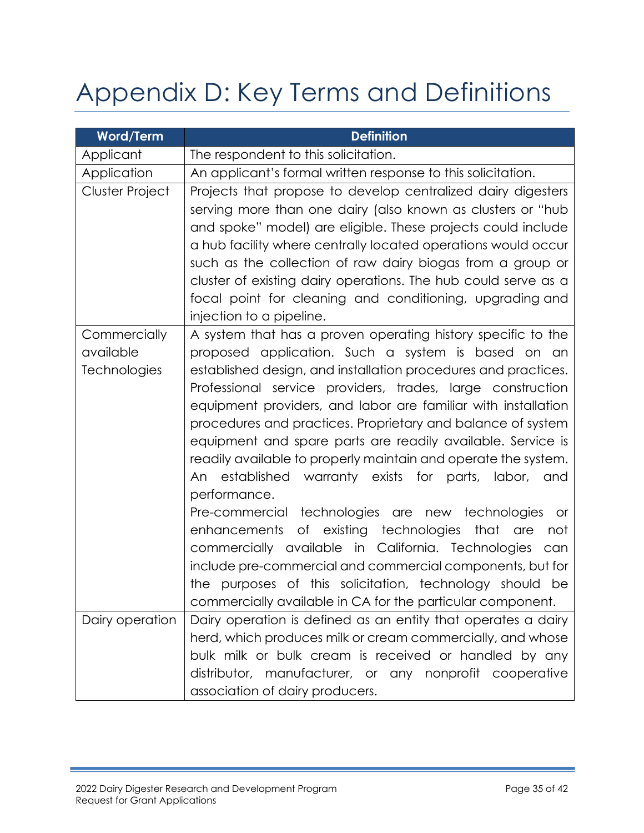## <span id="page-34-0"></span>Appendix D: Key Terms and Definitions

| <b>Word/Term</b>    | <b>Definition</b>                                                                                                            |
|---------------------|------------------------------------------------------------------------------------------------------------------------------|
| Applicant           | The respondent to this solicitation.                                                                                         |
| Application         | An applicant's formal written response to this solicitation.                                                                 |
| Cluster Project     | Projects that propose to develop centralized dairy digesters                                                                 |
|                     | serving more than one dairy (also known as clusters or "hub                                                                  |
|                     | and spoke" model) are eligible. These projects could include                                                                 |
|                     | a hub facility where centrally located operations would occur                                                                |
|                     | such as the collection of raw dairy biogas from a group or                                                                   |
|                     | cluster of existing dairy operations. The hub could serve as a                                                               |
|                     | focal point for cleaning and conditioning, upgrading and                                                                     |
|                     | injection to a pipeline.                                                                                                     |
| Commercially        | A system that has a proven operating history specific to the                                                                 |
| available           | proposed application. Such a system is based on an                                                                           |
| <b>Technologies</b> | established design, and installation procedures and practices.<br>Professional service providers, trades, large construction |
|                     | equipment providers, and labor are familiar with installation                                                                |
|                     | procedures and practices. Proprietary and balance of system                                                                  |
|                     | equipment and spare parts are readily available. Service is                                                                  |
|                     | readily available to properly maintain and operate the system.                                                               |
|                     | An established warranty exists for parts, labor,<br>and                                                                      |
|                     | performance.                                                                                                                 |
|                     | Pre-commercial technologies are new technologies<br>or                                                                       |
|                     | enhancements of existing technologies that<br>not<br>are                                                                     |
|                     | commercially available in California. Technologies<br>can                                                                    |
|                     | include pre-commercial and commercial components, but for                                                                    |
|                     | the purposes of this solicitation, technology should be                                                                      |
|                     | commercially available in CA for the particular component.                                                                   |
| Dairy operation     | Dairy operation is defined as an entity that operates a dairy                                                                |
|                     | herd, which produces milk or cream commercially, and whose                                                                   |
|                     | bulk milk or bulk cream is received or handled by any                                                                        |
|                     | distributor, manufacturer, or any nonprofit cooperative                                                                      |
|                     | association of dairy producers.                                                                                              |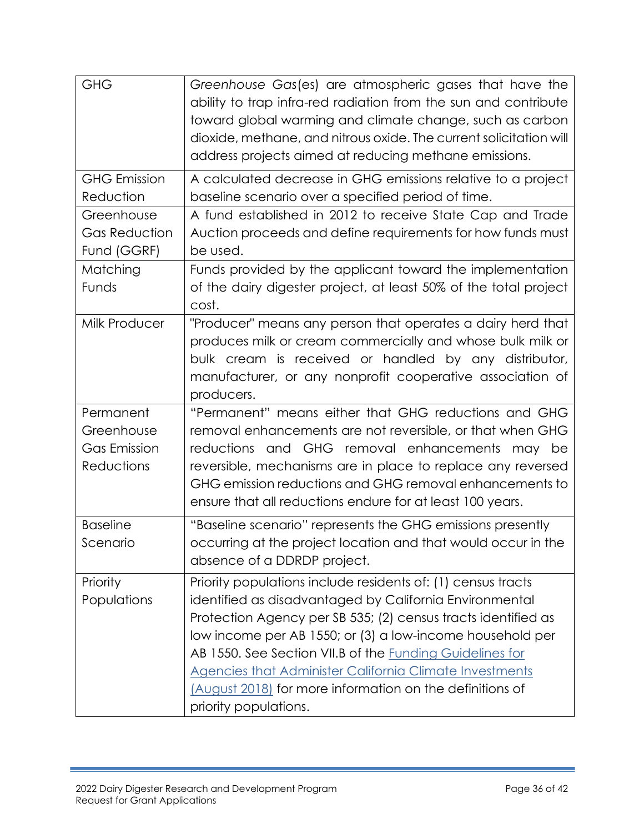| <b>GHG</b>                                                   | Greenhouse Gas(es) are atmospheric gases that have the<br>ability to trap infra-red radiation from the sun and contribute<br>toward global warming and climate change, such as carbon<br>dioxide, methane, and nitrous oxide. The current solicitation will<br>address projects aimed at reducing methane emissions.                                                                                                                                                     |
|--------------------------------------------------------------|--------------------------------------------------------------------------------------------------------------------------------------------------------------------------------------------------------------------------------------------------------------------------------------------------------------------------------------------------------------------------------------------------------------------------------------------------------------------------|
| <b>GHG Emission</b><br>Reduction                             | A calculated decrease in GHG emissions relative to a project<br>baseline scenario over a specified period of time.                                                                                                                                                                                                                                                                                                                                                       |
| Greenhouse<br><b>Gas Reduction</b><br>Fund (GGRF)            | A fund established in 2012 to receive State Cap and Trade<br>Auction proceeds and define requirements for how funds must<br>be used.                                                                                                                                                                                                                                                                                                                                     |
| Matching<br>Funds                                            | Funds provided by the applicant toward the implementation<br>of the dairy digester project, at least 50% of the total project<br>cost.                                                                                                                                                                                                                                                                                                                                   |
| Milk Producer                                                | "Producer" means any person that operates a dairy herd that<br>produces milk or cream commercially and whose bulk milk or<br>bulk cream is received or handled by any distributor,<br>manufacturer, or any nonprofit cooperative association of<br>producers.                                                                                                                                                                                                            |
| Permanent<br>Greenhouse<br><b>Gas Emission</b><br>Reductions | "Permanent" means either that GHG reductions and GHG<br>removal enhancements are not reversible, or that when GHG<br>and GHG removal enhancements may be<br>reductions<br>reversible, mechanisms are in place to replace any reversed<br>GHG emission reductions and GHG removal enhancements to<br>ensure that all reductions endure for at least 100 years.                                                                                                            |
| <b>Baseline</b><br>Scenario                                  | "Baseline scenario" represents the GHG emissions presently<br>occurring at the project location and that would occur in the<br>absence of a DDRDP project.                                                                                                                                                                                                                                                                                                               |
| Priority<br>Populations                                      | Priority populations include residents of: (1) census tracts<br>identified as disadvantaged by California Environmental<br>Protection Agency per SB 535; (2) census tracts identified as<br>low income per AB 1550; or (3) a low-income household per<br>AB 1550. See Section VII.B of the Funding Guidelines for<br><b>Agencies that Administer California Climate Investments</b><br>(August 2018) for more information on the definitions of<br>priority populations. |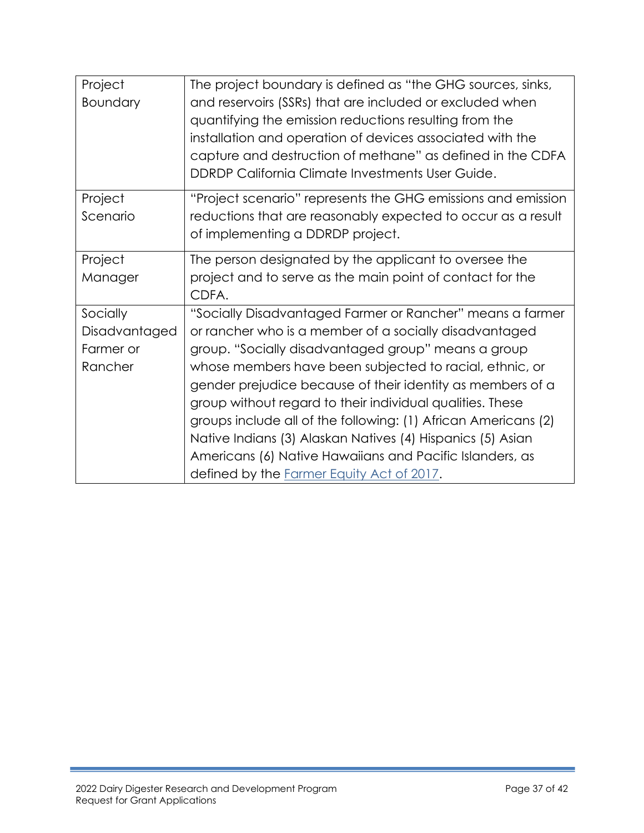| Project         | The project boundary is defined as "the GHG sources, sinks,    |
|-----------------|----------------------------------------------------------------|
| <b>Boundary</b> | and reservoirs (SSRs) that are included or excluded when       |
|                 | quantifying the emission reductions resulting from the         |
|                 | installation and operation of devices associated with the      |
|                 | capture and destruction of methane" as defined in the CDFA     |
|                 | DDRDP California Climate Investments User Guide.               |
| Project         | "Project scenario" represents the GHG emissions and emission   |
| Scenario        | reductions that are reasonably expected to occur as a result   |
|                 | of implementing a DDRDP project.                               |
| Project         | The person designated by the applicant to oversee the          |
| Manager         | project and to serve as the main point of contact for the      |
|                 | CDFA.                                                          |
| Socially        | "Socially Disadvantaged Farmer or Rancher" means a farmer      |
| Disadvantaged   | or rancher who is a member of a socially disadvantaged         |
| Farmer or       | group. "Socially disadvantaged group" means a group            |
| Rancher         | whose members have been subjected to racial, ethnic, or        |
|                 | gender prejudice because of their identity as members of a     |
|                 | group without regard to their individual qualities. These      |
|                 | groups include all of the following: (1) African Americans (2) |
|                 | Native Indians (3) Alaskan Natives (4) Hispanics (5) Asian     |
|                 | Americans (6) Native Hawaiians and Pacific Islanders, as       |
|                 | defined by the Farmer Equity Act of 2017.                      |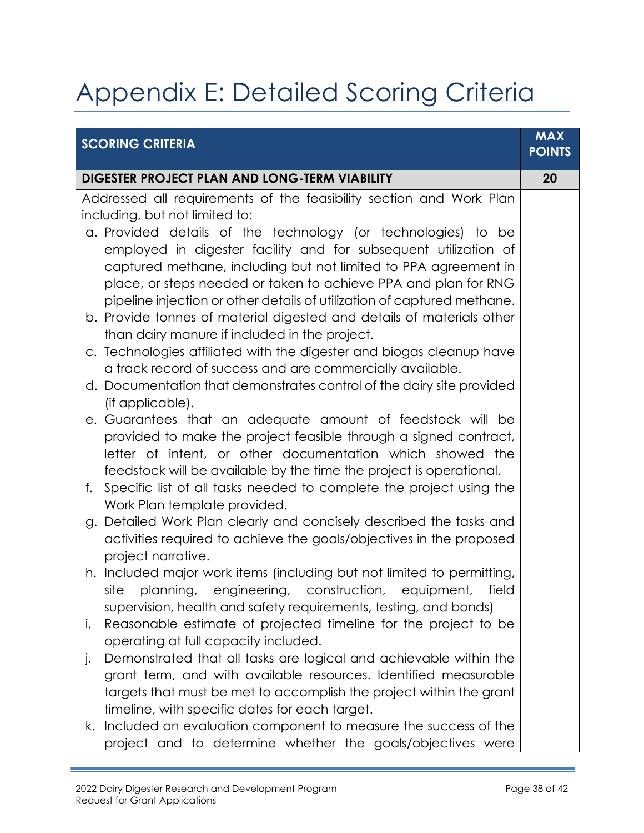## <span id="page-37-0"></span>Appendix E: Detailed Scoring Criteria

| <b>SCORING CRITERIA</b>                                                                                                                    | <b>MAX</b><br><b>POINTS</b> |
|--------------------------------------------------------------------------------------------------------------------------------------------|-----------------------------|
| DIGESTER PROJECT PLAN AND LONG-TERM VIABILITY                                                                                              | 20                          |
| Addressed all requirements of the feasibility section and Work Plan                                                                        |                             |
| including, but not limited to:                                                                                                             |                             |
| a. Provided details of the technology (or technologies) to be                                                                              |                             |
| employed in digester facility and for subsequent utilization of                                                                            |                             |
| captured methane, including but not limited to PPA agreement in                                                                            |                             |
| place, or steps needed or taken to achieve PPA and plan for RNG<br>pipeline injection or other details of utilization of captured methane. |                             |
| b. Provide tonnes of material digested and details of materials other                                                                      |                             |
| than dairy manure if included in the project.                                                                                              |                             |
| c. Technologies affiliated with the digester and biogas cleanup have                                                                       |                             |
| a track record of success and are commercially available.                                                                                  |                             |
| d. Documentation that demonstrates control of the dairy site provided                                                                      |                             |
| (if applicable).                                                                                                                           |                             |
| e. Guarantees that an adequate amount of feedstock will be                                                                                 |                             |
| provided to make the project feasible through a signed contract,                                                                           |                             |
| letter of intent, or other documentation which showed the                                                                                  |                             |
| feedstock will be available by the time the project is operational.                                                                        |                             |
| Specific list of all tasks needed to complete the project using the<br>f.                                                                  |                             |
| Work Plan template provided.                                                                                                               |                             |
| g. Detailed Work Plan clearly and concisely described the tasks and                                                                        |                             |
| activities required to achieve the goals/objectives in the proposed                                                                        |                             |
| project narrative.<br>h. Included major work items (including but not limited to permitting,                                               |                             |
| planning, engineering, construction,<br>site<br>equipment,<br>field                                                                        |                             |
| supervision, health and safety requirements, testing, and bonds)                                                                           |                             |
| Reasonable estimate of projected timeline for the project to be<br>i.                                                                      |                             |
| operating at full capacity included.                                                                                                       |                             |
| Demonstrated that all tasks are logical and achievable within the<br>j.                                                                    |                             |
| grant term, and with available resources. Identified measurable                                                                            |                             |
| targets that must be met to accomplish the project within the grant                                                                        |                             |
| timeline, with specific dates for each target.                                                                                             |                             |
| Included an evaluation component to measure the success of the<br>K.                                                                       |                             |
| project and to determine whether the goals/objectives were                                                                                 |                             |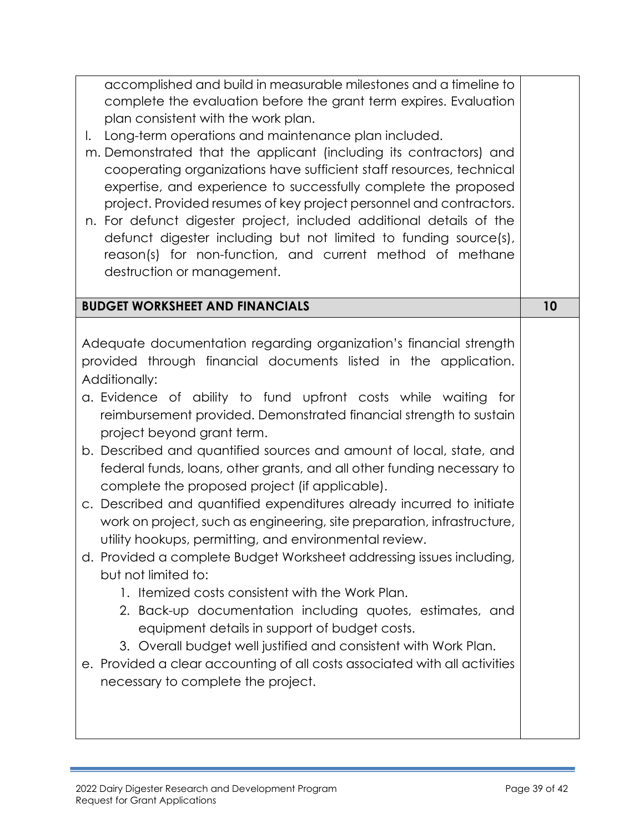| accomplished and build in measurable milestones and a timeline to          |    |
|----------------------------------------------------------------------------|----|
| complete the evaluation before the grant term expires. Evaluation          |    |
| plan consistent with the work plan.                                        |    |
| Long-term operations and maintenance plan included.<br>$\mathsf{L}$        |    |
| m. Demonstrated that the applicant (including its contractors) and         |    |
| cooperating organizations have sufficient staff resources, technical       |    |
| expertise, and experience to successfully complete the proposed            |    |
|                                                                            |    |
| project. Provided resumes of key project personnel and contractors.        |    |
| n. For defunct digester project, included additional details of the        |    |
| defunct digester including but not limited to funding source(s),           |    |
| reason(s) for non-function, and current method of methane                  |    |
| destruction or management.                                                 |    |
| <b>BUDGET WORKSHEET AND FINANCIALS</b>                                     | 10 |
|                                                                            |    |
|                                                                            |    |
| Adequate documentation regarding organization's financial strength         |    |
| provided through financial documents listed in the application.            |    |
| Additionally:                                                              |    |
| a. Evidence of ability to fund upfront costs while waiting for             |    |
| reimbursement provided. Demonstrated financial strength to sustain         |    |
| project beyond grant term.                                                 |    |
| b. Described and quantified sources and amount of local, state, and        |    |
|                                                                            |    |
| federal funds, loans, other grants, and all other funding necessary to     |    |
| complete the proposed project (if applicable).                             |    |
| c. Described and quantified expenditures already incurred to initiate      |    |
| work on project, such as engineering, site preparation, infrastructure,    |    |
| utility hookups, permitting, and environmental review.                     |    |
| d. Provided a complete Budget Worksheet addressing issues including,       |    |
| but not limited to:                                                        |    |
| 1. Itemized costs consistent with the Work Plan.                           |    |
| 2. Back-up documentation including quotes, estimates, and                  |    |
| equipment details in support of budget costs.                              |    |
|                                                                            |    |
| 3. Overall budget well justified and consistent with Work Plan.            |    |
| e. Provided a clear accounting of all costs associated with all activities |    |
| necessary to complete the project.                                         |    |
|                                                                            |    |
|                                                                            |    |
|                                                                            |    |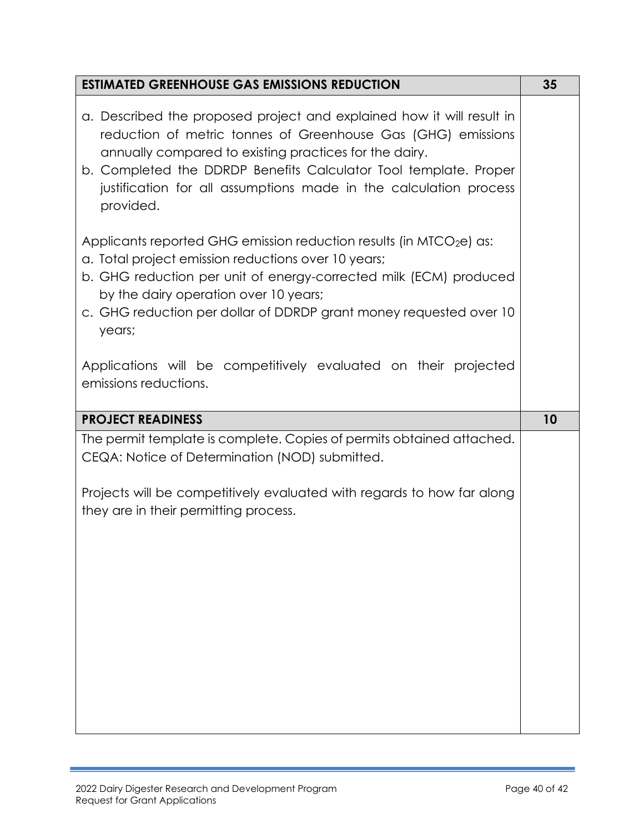|                                                                                                                                                                                                                                                                                                                                                       | 35 |
|-------------------------------------------------------------------------------------------------------------------------------------------------------------------------------------------------------------------------------------------------------------------------------------------------------------------------------------------------------|----|
| a. Described the proposed project and explained how it will result in<br>reduction of metric tonnes of Greenhouse Gas (GHG) emissions<br>annually compared to existing practices for the dairy.<br>b. Completed the DDRDP Benefits Calculator Tool template. Proper<br>justification for all assumptions made in the calculation process<br>provided. |    |
| Applicants reported GHG emission reduction results (in MTCO $_{2}$ e) as:<br>a. Total project emission reductions over 10 years;<br>b. GHG reduction per unit of energy-corrected milk (ECM) produced<br>by the dairy operation over 10 years;<br>c. GHG reduction per dollar of DDRDP grant money requested over 10<br>years;                        |    |
| Applications will be competitively evaluated on their projected<br>emissions reductions.                                                                                                                                                                                                                                                              |    |
| <b>PROJECT READINESS</b>                                                                                                                                                                                                                                                                                                                              | 10 |
|                                                                                                                                                                                                                                                                                                                                                       |    |
| The permit template is complete. Copies of permits obtained attached.<br>CEQA: Notice of Determination (NOD) submitted.                                                                                                                                                                                                                               |    |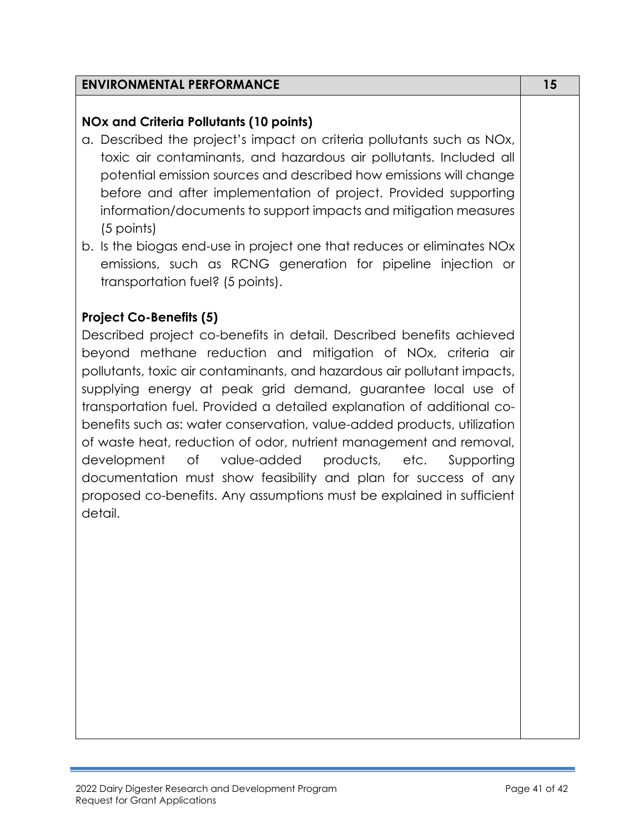# **ENVIRONMENTAL PERFORMANCE 15 15 NOx and Criteria Pollutants (10 points)** a. Described the project's impact on criteria pollutants such as NOx, (5 points) b. Is the biogas end-use in project one that reduces or eliminates NOx emissions, such as RCNG generation for pipeline injection or transportation fuel? (5 points). **Project Co-Benefits (5)** Described project co-benefits in detail. Described benefits achieved

toxic air contaminants, and hazardous air pollutants. Included all potential emission sources and described how emissions will change before and after implementation of project. Provided supporting information/documents to support impacts and mitigation measures

beyond methane reduction and mitigation of NOx, criteria air pollutants, toxic air contaminants, and hazardous air pollutant impacts, supplying energy at peak grid demand, guarantee local use of transportation fuel. Provided a detailed explanation of additional cobenefits such as: water conservation, value-added products, utilization of waste heat, reduction of odor, nutrient management and removal, development of value-added products, etc. Supporting documentation must show feasibility and plan for success of any proposed co-benefits. Any assumptions must be explained in sufficient detail.